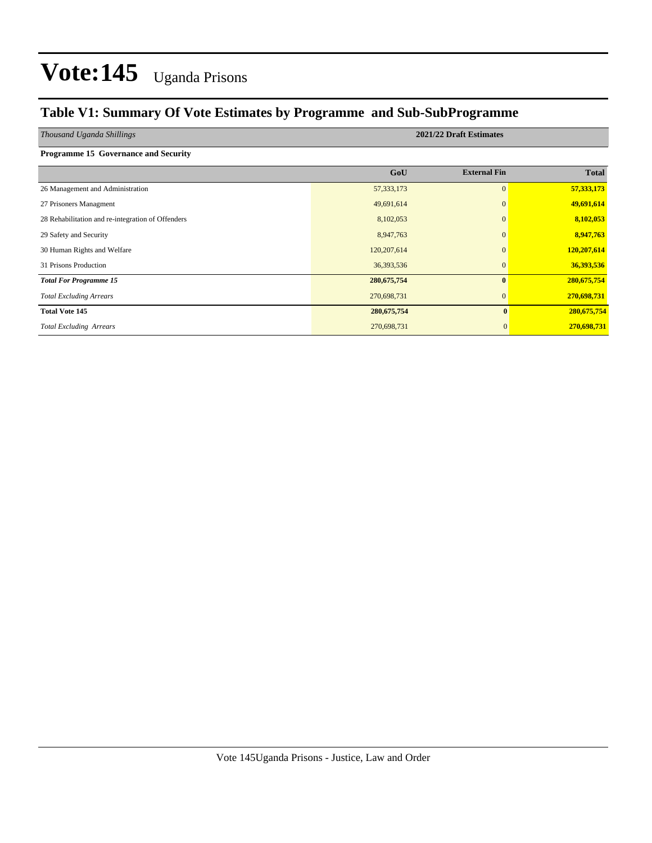#### **Table V1: Summary Of Vote Estimates by Programme and Sub-SubProgramme**

| Thousand Uganda Shillings                         | 2021/22 Draft Estimates |                     |              |  |  |  |  |  |  |
|---------------------------------------------------|-------------------------|---------------------|--------------|--|--|--|--|--|--|
| <b>Programme 15 Governance and Security</b>       |                         |                     |              |  |  |  |  |  |  |
|                                                   | GoU                     | <b>External Fin</b> | <b>Total</b> |  |  |  |  |  |  |
| 26 Management and Administration                  | 57, 333, 173            | $\mathbf{0}$        | 57,333,173   |  |  |  |  |  |  |
| 27 Prisoners Managment                            | 49,691,614              | $\mathbf{0}$        | 49,691,614   |  |  |  |  |  |  |
| 28 Rehabilitation and re-integration of Offenders | 8,102,053               | $\mathbf{0}$        | 8,102,053    |  |  |  |  |  |  |
| 29 Safety and Security                            | 8,947,763               | $\mathbf{0}$        | 8,947,763    |  |  |  |  |  |  |
| 30 Human Rights and Welfare                       | 120,207,614             | $\Omega$            | 120,207,614  |  |  |  |  |  |  |
| 31 Prisons Production                             | 36,393,536              | $\mathbf{0}$        | 36,393,536   |  |  |  |  |  |  |
| <b>Total For Programme 15</b>                     | 280, 675, 754           | $\bf{0}$            | 280,675,754  |  |  |  |  |  |  |
| <b>Total Excluding Arrears</b>                    | 270,698,731             | $\mathbf{0}$        | 270,698,731  |  |  |  |  |  |  |
| <b>Total Vote 145</b>                             | 280, 675, 754           | $\bf{0}$            | 280,675,754  |  |  |  |  |  |  |
| <b>Total Excluding Arrears</b>                    | 270,698,731             | $\mathbf{0}$        | 270,698,731  |  |  |  |  |  |  |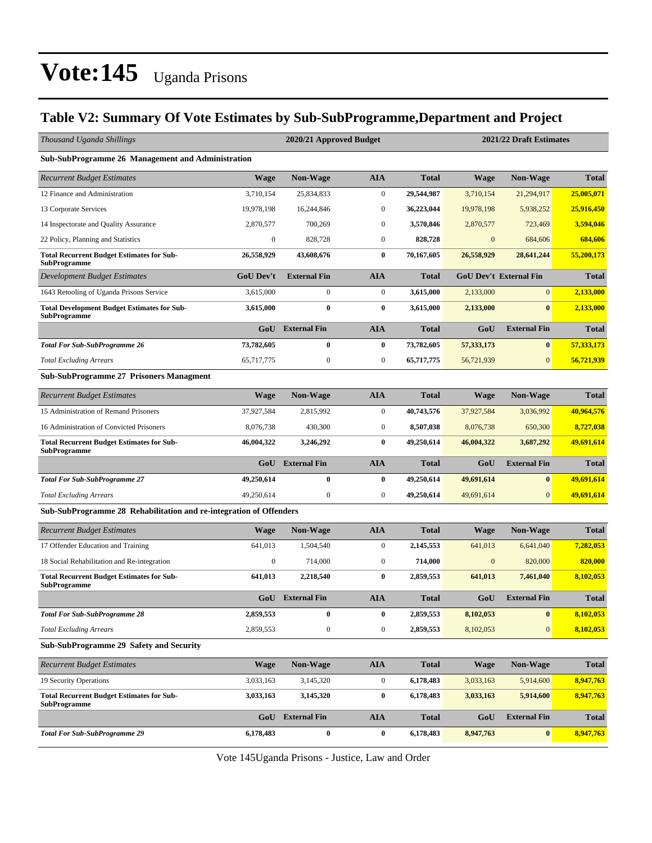#### **Table V2: Summary Of Vote Estimates by Sub-SubProgramme,Department and Project**

| Thousand Uganda Shillings                                                 |                  | 2020/21 Approved Budget |                  |              | 2021/22 Draft Estimates |                               |              |  |
|---------------------------------------------------------------------------|------------------|-------------------------|------------------|--------------|-------------------------|-------------------------------|--------------|--|
| Sub-SubProgramme 26 Management and Administration                         |                  |                         |                  |              |                         |                               |              |  |
| <b>Recurrent Budget Estimates</b>                                         | <b>Wage</b>      | <b>Non-Wage</b>         | <b>AIA</b>       | <b>Total</b> | <b>Wage</b>             | <b>Non-Wage</b>               | <b>Total</b> |  |
| 12 Finance and Administration                                             | 3,710,154        | 25,834,833              | $\boldsymbol{0}$ | 29,544,987   | 3,710,154               | 21,294,917                    | 25,005,071   |  |
| 13 Corporate Services                                                     | 19,978,198       | 16,244,846              | $\boldsymbol{0}$ | 36,223,044   | 19,978,198              | 5,938,252                     | 25,916,450   |  |
| 14 Inspectorate and Quality Assurance                                     | 2,870,577        | 700,269                 | $\mathbf{0}$     | 3,570,846    | 2,870,577               | 723,469                       | 3,594,046    |  |
| 22 Policy, Planning and Statistics                                        | $\boldsymbol{0}$ | 828,728                 | $\mathbf{0}$     | 828,728      | $\overline{0}$          | 684,606                       | 684,606      |  |
| <b>Total Recurrent Budget Estimates for Sub-</b><br><b>SubProgramme</b>   | 26,558,929       | 43,608,676              | $\bf{0}$         | 70,167,605   | 26,558,929              | 28,641,244                    | 55,200,173   |  |
| Development Budget Estimates                                              | <b>GoU Dev't</b> | <b>External Fin</b>     | <b>AIA</b>       | <b>Total</b> |                         | <b>GoU Dev't External Fin</b> | <b>Total</b> |  |
| 1643 Retooling of Uganda Prisons Service                                  | 3,615,000        | $\boldsymbol{0}$        | $\mathbf{0}$     | 3,615,000    | 2,133,000               | $\overline{0}$                | 2,133,000    |  |
| <b>Total Development Budget Estimates for Sub-</b><br><b>SubProgramme</b> | 3,615,000        | $\bf{0}$                | $\bf{0}$         | 3,615,000    | 2,133,000               | $\bf{0}$                      | 2,133,000    |  |
|                                                                           |                  | <b>GoU</b> External Fin | <b>AIA</b>       | <b>Total</b> | GoU                     | <b>External Fin</b>           | <b>Total</b> |  |
| <b>Total For Sub-SubProgramme 26</b>                                      | 73,782,605       | 0                       | $\bf{0}$         | 73,782,605   | 57,333,173              | $\boldsymbol{0}$              | 57,333,173   |  |
| <b>Total Excluding Arrears</b>                                            | 65,717,775       | $\boldsymbol{0}$        | $\boldsymbol{0}$ | 65,717,775   | 56,721,939              | $\mathbf{0}$                  | 56,721,939   |  |
| <b>Sub-SubProgramme 27 Prisoners Managment</b>                            |                  |                         |                  |              |                         |                               |              |  |
| <b>Recurrent Budget Estimates</b>                                         | <b>Wage</b>      | Non-Wage                | <b>AIA</b>       | <b>Total</b> | Wage                    | Non-Wage                      | <b>Total</b> |  |
| 15 Administration of Remand Prisoners                                     | 37,927,584       | 2,815,992               | $\mathbf{0}$     | 40,743,576   | 37,927,584              | 3,036,992                     | 40,964,576   |  |
| 16 Administration of Convicted Prisoners                                  | 8,076,738        | 430,300                 | $\mathbf{0}$     | 8,507,038    | 8,076,738               | 650,300                       | 8,727,038    |  |
| <b>Total Recurrent Budget Estimates for Sub-</b><br>SubProgramme          | 46,004,322       | 3,246,292               | $\bf{0}$         | 49,250,614   | 46,004,322              | 3,687,292                     | 49,691,614   |  |
|                                                                           | GoU              | <b>External Fin</b>     | <b>AIA</b>       | <b>Total</b> | GoU                     | <b>External Fin</b>           | <b>Total</b> |  |
| <b>Total For Sub-SubProgramme 27</b>                                      | 49,250,614       | $\bf{0}$                | $\bf{0}$         | 49,250,614   | 49,691,614              | $\bf{0}$                      | 49,691,614   |  |
| <b>Total Excluding Arrears</b>                                            | 49,250,614       | $\boldsymbol{0}$        | $\boldsymbol{0}$ | 49,250,614   | 49,691,614              | $\overline{0}$                | 49,691,614   |  |
| Sub-SubProgramme 28 Rehabilitation and re-integration of Offenders        |                  |                         |                  |              |                         |                               |              |  |
| <b>Recurrent Budget Estimates</b>                                         | <b>Wage</b>      | <b>Non-Wage</b>         | <b>AIA</b>       | <b>Total</b> | Wage                    | <b>Non-Wage</b>               | <b>Total</b> |  |
| 17 Offender Education and Training                                        | 641,013          | 1,504,540               | $\mathbf{0}$     | 2,145,553    | 641,013                 | 6,641,040                     | 7,282,053    |  |
| 18 Social Rehabilitation and Re-integration                               | 0                | 714,000                 | $\boldsymbol{0}$ | 714,000      | $\mathbf{0}$            | 820,000                       | 820,000      |  |
| <b>Total Recurrent Budget Estimates for Sub-</b><br>SubProgramme          | 641,013          | 2,218,540               | $\bf{0}$         | 2,859,553    | 641,013                 | 7,461,040                     | 8,102,053    |  |
|                                                                           |                  | <b>GoU</b> External Fin | <b>AIA</b>       | Total        | GoU                     | <b>External Fin</b>           | <b>Total</b> |  |
| <b>Total For Sub-SubProgramme 28</b>                                      | 2,859,553        | $\bf{0}$                | $\bf{0}$         | 2,859,553    | 8,102,053               | $\bf{0}$                      | 8,102,053    |  |
| <b>Total Excluding Arrears</b>                                            | 2,859,553        | 0                       | $\boldsymbol{0}$ | 2,859,553    | 8,102,053               | $\mathbf{0}$                  | 8,102,053    |  |
| <b>Sub-SubProgramme 29 Safety and Security</b>                            |                  |                         |                  |              |                         |                               |              |  |
| <b>Recurrent Budget Estimates</b>                                         | <b>Wage</b>      | Non-Wage                | <b>AIA</b>       | <b>Total</b> | Wage                    | <b>Non-Wage</b>               | <b>Total</b> |  |
| 19 Security Operations                                                    | 3,033,163        | 3,145,320               | $\boldsymbol{0}$ | 6,178,483    | 3,033,163               | 5,914,600                     | 8,947,763    |  |
| <b>Total Recurrent Budget Estimates for Sub-</b><br><b>SubProgramme</b>   | 3,033,163        | 3,145,320               | $\bf{0}$         | 6,178,483    | 3,033,163               | 5,914,600                     | 8,947,763    |  |
|                                                                           | GoU              | <b>External Fin</b>     | <b>AIA</b>       | <b>Total</b> | GoU                     | <b>External Fin</b>           | <b>Total</b> |  |
| <b>Total For Sub-SubProgramme 29</b>                                      | 6,178,483        | $\pmb{0}$               | $\bf{0}$         | 6,178,483    | 8,947,763               | $\boldsymbol{0}$              | 8,947,763    |  |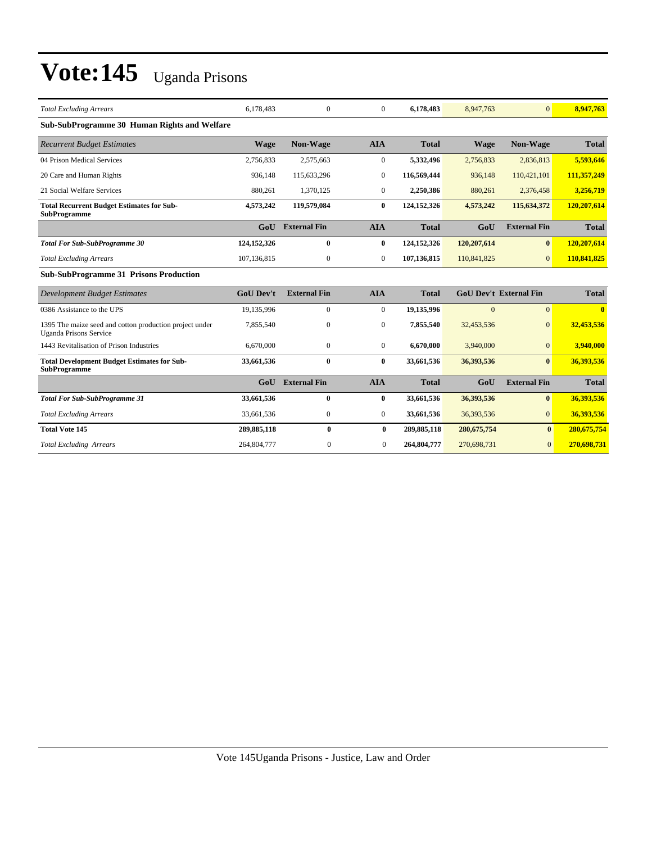| <b>Total Excluding Arrears</b>                                                           | 6.178.483        | $\mathbf{0}$        | $\theta$       | 6,178,483    | 8,947,763     | $\Omega$                      | 8,947,763    |
|------------------------------------------------------------------------------------------|------------------|---------------------|----------------|--------------|---------------|-------------------------------|--------------|
| Sub-SubProgramme 30 Human Rights and Welfare                                             |                  |                     |                |              |               |                               |              |
| <b>Recurrent Budget Estimates</b>                                                        | <b>Wage</b>      | <b>Non-Wage</b>     | <b>AIA</b>     | <b>Total</b> | <b>Wage</b>   | Non-Wage                      | <b>Total</b> |
| 04 Prison Medical Services                                                               | 2,756,833        | 2,575,663           | $\overline{0}$ | 5,332,496    | 2,756,833     | 2,836,813                     | 5,593,646    |
| 20 Care and Human Rights                                                                 | 936,148          | 115,633,296         | $\mathbf{0}$   | 116,569,444  | 936,148       | 110,421,101                   | 111,357,249  |
| 21 Social Welfare Services                                                               | 880,261          | 1,370,125           | $\overline{0}$ | 2,250,386    | 880,261       | 2,376,458                     | 3,256,719    |
| <b>Total Recurrent Budget Estimates for Sub-</b><br><b>SubProgramme</b>                  | 4,573,242        | 119,579,084         | $\bf{0}$       | 124,152,326  | 4,573,242     | 115,634,372                   | 120,207,614  |
|                                                                                          | GoU              | <b>External Fin</b> | <b>AIA</b>     | <b>Total</b> | GoU           | <b>External Fin</b>           | <b>Total</b> |
| <b>Total For Sub-SubProgramme 30</b>                                                     | 124, 152, 326    | $\bf{0}$            | $\bf{0}$       | 124,152,326  | 120,207,614   | $\bf{0}$                      | 120,207,614  |
| <b>Total Excluding Arrears</b>                                                           | 107,136,815      | $\mathbf{0}$        | $\overline{0}$ | 107,136,815  | 110,841,825   | $\overline{0}$                | 110,841,825  |
| <b>Sub-SubProgramme 31 Prisons Production</b>                                            |                  |                     |                |              |               |                               |              |
| <b>Development Budget Estimates</b>                                                      | <b>GoU Dev't</b> | <b>External Fin</b> | <b>AIA</b>     | <b>Total</b> |               | <b>GoU Dev't External Fin</b> | <b>Total</b> |
| 0386 Assistance to the UPS                                                               | 19,135,996       | $\mathbf{0}$        | $\mathbf{0}$   | 19,135,996   | $\Omega$      | $\overline{0}$                | $\mathbf{0}$ |
| 1395 The maize seed and cotton production project under<br><b>Uganda Prisons Service</b> | 7,855,540        | $\mathbf{0}$        | $\mathbf{0}$   | 7,855,540    | 32,453,536    | $\mathbf{0}$                  | 32,453,536   |
| 1443 Revitalisation of Prison Industries                                                 | 6,670,000        | $\mathbf{0}$        | $\overline{0}$ | 6.670.000    | 3,940,000     | $\overline{0}$                | 3,940,000    |
| <b>Total Development Budget Estimates for Sub-</b><br><b>SubProgramme</b>                | 33,661,536       | $\bf{0}$            | $\mathbf{0}$   | 33,661,536   | 36,393,536    | $\mathbf{0}$                  | 36,393,536   |
|                                                                                          | Gol              | <b>External Fin</b> | <b>AIA</b>     | <b>Total</b> | GoU           | <b>External Fin</b>           | <b>Total</b> |
| <b>Total For Sub-SubProgramme 31</b>                                                     | 33,661,536       | $\bf{0}$            | $\bf{0}$       | 33,661,536   | 36,393,536    | $\bf{0}$                      | 36,393,536   |
| <b>Total Excluding Arrears</b>                                                           | 33,661,536       | $\mathbf{0}$        | $\overline{0}$ | 33,661,536   | 36,393,536    | $\overline{0}$                | 36,393,536   |
| <b>Total Vote 145</b>                                                                    | 289,885,118      | $\bf{0}$            | $\bf{0}$       | 289,885,118  | 280, 675, 754 | $\mathbf{0}$                  | 280,675,754  |
| <b>Total Excluding Arrears</b>                                                           | 264,804,777      | $\overline{0}$      | $\Omega$       | 264,804,777  | 270,698,731   | $\Omega$                      | 270,698,731  |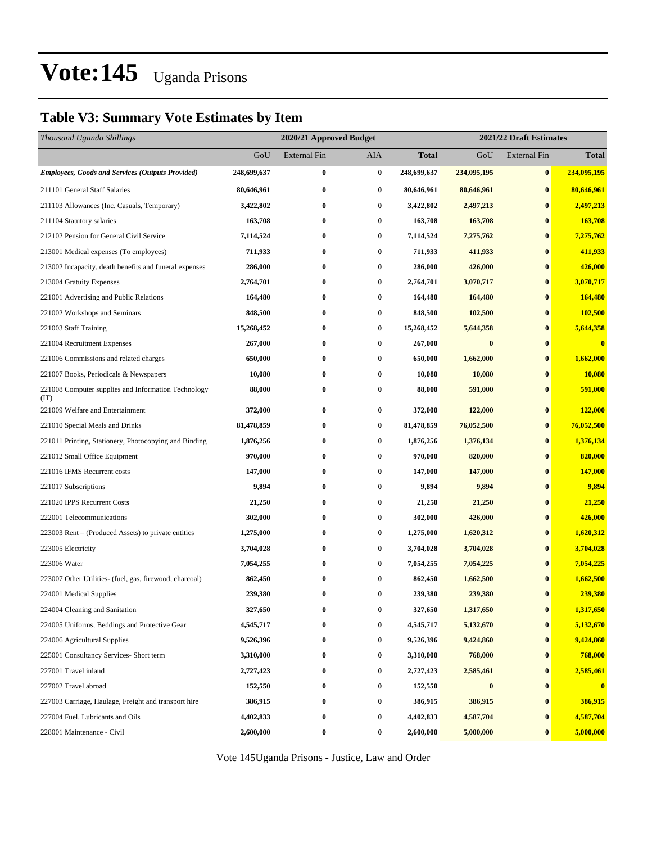#### **Table V3: Summary Vote Estimates by Item**

| GoU<br><b>External Fin</b><br>AIA<br><b>Total</b><br>GoU<br><b>External Fin</b><br><b>Employees, Goods and Services (Outputs Provided)</b><br>248,699,637<br>$\bf{0}$<br>$\bf{0}$<br>248,699,637<br>234,095,195<br>$\bf{0}$<br>211101 General Staff Salaries<br>80,646,961<br>$\bf{0}$<br>$\bf{0}$<br>80,646,961<br>$\bf{0}$<br>80,646,961<br>$\bf{0}$<br>3,422,802<br>211103 Allowances (Inc. Casuals, Temporary)<br>3,422,802<br>$\bf{0}$<br>2,497,213<br>$\bf{0}$<br>163,708<br>$\bf{0}$<br>$\bf{0}$<br>163,708<br>163,708<br>$\bf{0}$<br>211104 Statutory salaries<br>$\bf{0}$<br>212102 Pension for General Civil Service<br>7,114,524<br>$\bf{0}$<br>7,114,524<br>7,275,762<br>$\bf{0}$<br>$\bf{0}$<br>$\bf{0}$<br>711,933<br>$\bf{0}$<br>213001 Medical expenses (To employees)<br>711,933<br>411,933<br>$\bf{0}$<br>286,000<br>426,000<br>213002 Incapacity, death benefits and funeral expenses<br>286,000<br>0<br>$\bf{0}$<br>$\bf{0}$<br>$\bf{0}$<br>3,070,717<br>213004 Gratuity Expenses<br>2,764,701<br>2,764,701<br>$\bf{0}$ | Thousand Uganda Shillings | 2020/21 Approved Budget |  | 2021/22 Draft Estimates |  |              |  |
|---------------------------------------------------------------------------------------------------------------------------------------------------------------------------------------------------------------------------------------------------------------------------------------------------------------------------------------------------------------------------------------------------------------------------------------------------------------------------------------------------------------------------------------------------------------------------------------------------------------------------------------------------------------------------------------------------------------------------------------------------------------------------------------------------------------------------------------------------------------------------------------------------------------------------------------------------------------------------------------------------------------------------------------------|---------------------------|-------------------------|--|-------------------------|--|--------------|--|
|                                                                                                                                                                                                                                                                                                                                                                                                                                                                                                                                                                                                                                                                                                                                                                                                                                                                                                                                                                                                                                             |                           |                         |  |                         |  | <b>Total</b> |  |
|                                                                                                                                                                                                                                                                                                                                                                                                                                                                                                                                                                                                                                                                                                                                                                                                                                                                                                                                                                                                                                             |                           |                         |  |                         |  | 234,095,195  |  |
|                                                                                                                                                                                                                                                                                                                                                                                                                                                                                                                                                                                                                                                                                                                                                                                                                                                                                                                                                                                                                                             |                           |                         |  |                         |  | 80,646,961   |  |
|                                                                                                                                                                                                                                                                                                                                                                                                                                                                                                                                                                                                                                                                                                                                                                                                                                                                                                                                                                                                                                             |                           |                         |  |                         |  | 2,497,213    |  |
|                                                                                                                                                                                                                                                                                                                                                                                                                                                                                                                                                                                                                                                                                                                                                                                                                                                                                                                                                                                                                                             |                           |                         |  |                         |  | 163,708      |  |
|                                                                                                                                                                                                                                                                                                                                                                                                                                                                                                                                                                                                                                                                                                                                                                                                                                                                                                                                                                                                                                             |                           |                         |  |                         |  | 7,275,762    |  |
|                                                                                                                                                                                                                                                                                                                                                                                                                                                                                                                                                                                                                                                                                                                                                                                                                                                                                                                                                                                                                                             |                           |                         |  |                         |  | 411,933      |  |
|                                                                                                                                                                                                                                                                                                                                                                                                                                                                                                                                                                                                                                                                                                                                                                                                                                                                                                                                                                                                                                             |                           |                         |  |                         |  | 426,000      |  |
|                                                                                                                                                                                                                                                                                                                                                                                                                                                                                                                                                                                                                                                                                                                                                                                                                                                                                                                                                                                                                                             |                           |                         |  |                         |  | 3,070,717    |  |
| $\bf{0}$<br>$\bf{0}$<br>164,480<br>164,480<br>$\bf{0}$<br>221001 Advertising and Public Relations<br>164,480                                                                                                                                                                                                                                                                                                                                                                                                                                                                                                                                                                                                                                                                                                                                                                                                                                                                                                                                |                           |                         |  |                         |  | 164,480      |  |
| $\bf{0}$<br>221002 Workshops and Seminars<br>848,500<br>$\bf{0}$<br>848,500<br>102,500<br>$\bf{0}$                                                                                                                                                                                                                                                                                                                                                                                                                                                                                                                                                                                                                                                                                                                                                                                                                                                                                                                                          |                           |                         |  |                         |  | 102,500      |  |
| 15,268,452<br>$\bf{0}$<br>$\bf{0}$<br>15,268,452<br>$\bf{0}$<br>221003 Staff Training<br>5,644,358                                                                                                                                                                                                                                                                                                                                                                                                                                                                                                                                                                                                                                                                                                                                                                                                                                                                                                                                          |                           |                         |  |                         |  | 5,644,358    |  |
| 267,000<br>$\bf{0}$<br>267,000<br>221004 Recruitment Expenses<br>0<br>$\bf{0}$<br>$\bf{0}$                                                                                                                                                                                                                                                                                                                                                                                                                                                                                                                                                                                                                                                                                                                                                                                                                                                                                                                                                  |                           |                         |  |                         |  | $\bf{0}$     |  |
| $\bf{0}$<br>$\bf{0}$<br>1,662,000<br>221006 Commissions and related charges<br>650,000<br>650,000<br>$\bf{0}$                                                                                                                                                                                                                                                                                                                                                                                                                                                                                                                                                                                                                                                                                                                                                                                                                                                                                                                               |                           |                         |  |                         |  | 1,662,000    |  |
| 10,080<br>$\bf{0}$<br>$\bf{0}$<br>10,080<br>10,080<br>$\bf{0}$<br>221007 Books, Periodicals & Newspapers                                                                                                                                                                                                                                                                                                                                                                                                                                                                                                                                                                                                                                                                                                                                                                                                                                                                                                                                    |                           |                         |  |                         |  | 10,080       |  |
| $\bf{0}$<br>221008 Computer supplies and Information Technology<br>88,000<br>0<br>88,000<br>591,000<br>$\bf{0}$<br>(TT)                                                                                                                                                                                                                                                                                                                                                                                                                                                                                                                                                                                                                                                                                                                                                                                                                                                                                                                     |                           |                         |  |                         |  | 591,000      |  |
| 221009 Welfare and Entertainment<br>372,000<br>$\bf{0}$<br>$\bf{0}$<br>372,000<br>122,000<br>$\bf{0}$                                                                                                                                                                                                                                                                                                                                                                                                                                                                                                                                                                                                                                                                                                                                                                                                                                                                                                                                       |                           |                         |  |                         |  | 122,000      |  |
| 81,478,859<br>$\bf{0}$<br>$\bf{0}$<br>81,478,859<br>76,052,500<br>$\bf{0}$<br>221010 Special Meals and Drinks                                                                                                                                                                                                                                                                                                                                                                                                                                                                                                                                                                                                                                                                                                                                                                                                                                                                                                                               |                           |                         |  |                         |  | 76,052,500   |  |
| $\bf{0}$<br>$\bf{0}$<br>221011 Printing, Stationery, Photocopying and Binding<br>1,876,256<br>$\bf{0}$<br>1,876,256<br>1,376,134                                                                                                                                                                                                                                                                                                                                                                                                                                                                                                                                                                                                                                                                                                                                                                                                                                                                                                            |                           |                         |  |                         |  | 1,376,134    |  |
| 970,000<br>$\bf{0}$<br>970,000<br>820,000<br>221012 Small Office Equipment<br>$\bf{0}$<br>$\bf{0}$                                                                                                                                                                                                                                                                                                                                                                                                                                                                                                                                                                                                                                                                                                                                                                                                                                                                                                                                          |                           |                         |  |                         |  | 820,000      |  |
| $\bf{0}$<br>$\bf{0}$<br>$\bf{0}$<br>221016 IFMS Recurrent costs<br>147,000<br>147,000<br>147,000                                                                                                                                                                                                                                                                                                                                                                                                                                                                                                                                                                                                                                                                                                                                                                                                                                                                                                                                            |                           |                         |  |                         |  | 147,000      |  |
| 9,894<br>9,894<br>$\bf{0}$<br>$\bf{0}$<br>9,894<br>$\bf{0}$<br>221017 Subscriptions                                                                                                                                                                                                                                                                                                                                                                                                                                                                                                                                                                                                                                                                                                                                                                                                                                                                                                                                                         |                           |                         |  |                         |  | 9,894        |  |
| 221020 IPPS Recurrent Costs<br>$\bf{0}$<br>$\bf{0}$<br>21,250<br>21,250<br>21,250<br>$\bf{0}$                                                                                                                                                                                                                                                                                                                                                                                                                                                                                                                                                                                                                                                                                                                                                                                                                                                                                                                                               |                           |                         |  |                         |  | 21,250       |  |
| 302,000<br>$\bf{0}$<br>302,000<br>426,000<br>222001 Telecommunications<br>$\bf{0}$<br>$\bf{0}$                                                                                                                                                                                                                                                                                                                                                                                                                                                                                                                                                                                                                                                                                                                                                                                                                                                                                                                                              |                           |                         |  |                         |  | 426,000      |  |
| 223003 Rent – (Produced Assets) to private entities<br>1,275,000<br>$\bf{0}$<br>$\bf{0}$<br>1,275,000<br>1,620,312<br>$\bf{0}$                                                                                                                                                                                                                                                                                                                                                                                                                                                                                                                                                                                                                                                                                                                                                                                                                                                                                                              |                           |                         |  |                         |  | 1,620,312    |  |
| $\bf{0}$<br>$\bf{0}$<br>223005 Electricity<br>3,704,028<br>3,704,028<br>3,704,028<br>$\bf{0}$                                                                                                                                                                                                                                                                                                                                                                                                                                                                                                                                                                                                                                                                                                                                                                                                                                                                                                                                               |                           |                         |  |                         |  | 3,704,028    |  |
| 223006 Water<br>7,054,255<br>$\bf{0}$<br>$\bf{0}$<br>7,054,255<br>7,054,225<br>$\bf{0}$                                                                                                                                                                                                                                                                                                                                                                                                                                                                                                                                                                                                                                                                                                                                                                                                                                                                                                                                                     |                           |                         |  |                         |  | 7,054,225    |  |
| 862,450<br>1,662,500<br>223007 Other Utilities- (fuel, gas, firewood, charcoal)<br>862,450<br>$\bf{0}$<br>$\bf{0}$<br>$\bf{0}$                                                                                                                                                                                                                                                                                                                                                                                                                                                                                                                                                                                                                                                                                                                                                                                                                                                                                                              |                           |                         |  |                         |  | 1,662,500    |  |
| $\bf{0}$<br>224001 Medical Supplies<br>239,380<br>$\bf{0}$<br>239,380<br>239,380<br>$\bf{0}$                                                                                                                                                                                                                                                                                                                                                                                                                                                                                                                                                                                                                                                                                                                                                                                                                                                                                                                                                |                           |                         |  |                         |  | 239,380      |  |
| 1,317,650<br>327,650<br>327,650<br>224004 Cleaning and Sanitation<br>$\bf{0}$<br>$\bf{0}$<br>0                                                                                                                                                                                                                                                                                                                                                                                                                                                                                                                                                                                                                                                                                                                                                                                                                                                                                                                                              |                           |                         |  |                         |  | 1,317,650    |  |
| 4,545,717<br>$\bf{0}$<br>4,545,717<br>5,132,670<br>$\bf{0}$<br>224005 Uniforms, Beddings and Protective Gear<br>0                                                                                                                                                                                                                                                                                                                                                                                                                                                                                                                                                                                                                                                                                                                                                                                                                                                                                                                           |                           |                         |  |                         |  | 5,132,670    |  |
| 224006 Agricultural Supplies<br>9,526,396<br>$\bf{0}$<br>$\bf{0}$<br>9,526,396<br>9,424,860<br>$\bf{0}$                                                                                                                                                                                                                                                                                                                                                                                                                                                                                                                                                                                                                                                                                                                                                                                                                                                                                                                                     |                           |                         |  |                         |  | 9,424,860    |  |
| $\bf{0}$<br>768,000<br>225001 Consultancy Services- Short term<br>3,310,000<br>$\boldsymbol{0}$<br>3,310,000<br>$\bf{0}$                                                                                                                                                                                                                                                                                                                                                                                                                                                                                                                                                                                                                                                                                                                                                                                                                                                                                                                    |                           |                         |  |                         |  | 768,000      |  |
| $\bf{0}$<br>227001 Travel inland<br>2,727,423<br>$\bf{0}$<br>2,727,423<br>2,585,461<br>$\bf{0}$                                                                                                                                                                                                                                                                                                                                                                                                                                                                                                                                                                                                                                                                                                                                                                                                                                                                                                                                             |                           |                         |  |                         |  | 2,585,461    |  |
| 227002 Travel abroad<br>152,550<br>$\bf{0}$<br>$\bf{0}$<br>152,550<br>$\bf{0}$<br>$\bf{0}$                                                                                                                                                                                                                                                                                                                                                                                                                                                                                                                                                                                                                                                                                                                                                                                                                                                                                                                                                  |                           |                         |  |                         |  | $\bf{0}$     |  |
| 386,915<br>$\bf{0}$<br>386,915<br>386,915<br>227003 Carriage, Haulage, Freight and transport hire<br>$\bf{0}$<br>$\bf{0}$                                                                                                                                                                                                                                                                                                                                                                                                                                                                                                                                                                                                                                                                                                                                                                                                                                                                                                                   |                           |                         |  |                         |  | 386,915      |  |
| 4,402,833<br>4,587,704<br>227004 Fuel, Lubricants and Oils<br>$\bf{0}$<br>$\bf{0}$<br>4,402,833<br>$\bf{0}$                                                                                                                                                                                                                                                                                                                                                                                                                                                                                                                                                                                                                                                                                                                                                                                                                                                                                                                                 |                           |                         |  |                         |  | 4,587,704    |  |
| 2,600,000<br>$\bf{0}$<br>2,600,000<br>$\bf{0}$<br>228001 Maintenance - Civil<br>$\boldsymbol{0}$<br>5,000,000                                                                                                                                                                                                                                                                                                                                                                                                                                                                                                                                                                                                                                                                                                                                                                                                                                                                                                                               |                           |                         |  |                         |  | 5,000,000    |  |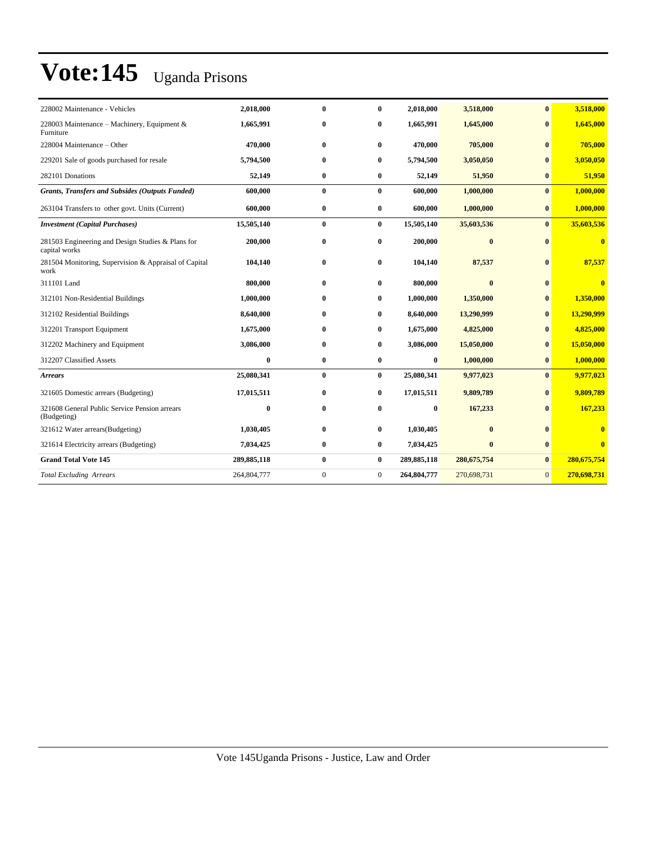| 228002 Maintenance - Vehicles                                      | 2,018,000   | $\mathbf{0}$ | $\bf{0}$       | 2,018,000   | 3,518,000     | $\bf{0}$       | 3,518,000    |
|--------------------------------------------------------------------|-------------|--------------|----------------|-------------|---------------|----------------|--------------|
| 228003 Maintenance - Machinery, Equipment &<br>Furniture           | 1,665,991   | $\bf{0}$     | 0              | 1,665,991   | 1,645,000     | $\mathbf{0}$   | 1,645,000    |
| 228004 Maintenance – Other                                         | 470,000     | $\bf{0}$     | $\bf{0}$       | 470,000     | 705,000       | $\mathbf{0}$   | 705,000      |
| 229201 Sale of goods purchased for resale                          | 5,794,500   | $\bf{0}$     | $\bf{0}$       | 5,794,500   | 3,050,050     | $\bf{0}$       | 3,050,050    |
| 282101 Donations                                                   | 52,149      | $\bf{0}$     | $\bf{0}$       | 52,149      | 51,950        | $\bf{0}$       | 51,950       |
| Grants, Transfers and Subsides (Outputs Funded)                    | 600,000     | $\bf{0}$     | $\bf{0}$       | 600,000     | 1,000,000     | $\mathbf{0}$   | 1,000,000    |
| 263104 Transfers to other govt. Units (Current)                    | 600,000     | $\bf{0}$     | $\bf{0}$       | 600,000     | 1,000,000     | $\bf{0}$       | 1,000,000    |
| <b>Investment</b> (Capital Purchases)                              | 15,505,140  | $\bf{0}$     | $\bf{0}$       | 15,505,140  | 35,603,536    | $\bf{0}$       | 35,603,536   |
| 281503 Engineering and Design Studies & Plans for<br>capital works | 200,000     | $\bf{0}$     | 0              | 200.000     | $\bf{0}$      | $\mathbf{0}$   | $\bf{0}$     |
| 281504 Monitoring, Supervision & Appraisal of Capital<br>work      | 104,140     | $\bf{0}$     | 0              | 104,140     | 87,537        | $\bf{0}$       | 87,537       |
| 311101 Land                                                        | 800,000     | $\mathbf{0}$ | 0              | 800,000     | $\mathbf{0}$  | $\mathbf{0}$   | $\mathbf{0}$ |
| 312101 Non-Residential Buildings                                   | 1,000,000   | $\mathbf{0}$ | 0              | 1,000,000   | 1,350,000     | $\bf{0}$       | 1,350,000    |
| 312102 Residential Buildings                                       | 8,640,000   | $\mathbf{0}$ | 0              | 8,640,000   | 13,290,999    | $\mathbf{0}$   | 13,290,999   |
| 312201 Transport Equipment                                         | 1,675,000   | $\bf{0}$     | 0              | 1,675,000   | 4,825,000     | $\bf{0}$       | 4,825,000    |
| 312202 Machinery and Equipment                                     | 3,086,000   | $\bf{0}$     | 0              | 3,086,000   | 15,050,000    | $\mathbf{0}$   | 15,050,000   |
| 312207 Classified Assets                                           | $\bf{0}$    | $\bf{0}$     | $\bf{0}$       | $\bf{0}$    | 1,000,000     | $\bf{0}$       | 1,000,000    |
| <b>Arrears</b>                                                     | 25,080,341  | $\bf{0}$     | $\bf{0}$       | 25,080,341  | 9,977,023     | $\mathbf{0}$   | 9,977,023    |
| 321605 Domestic arrears (Budgeting)                                | 17,015,511  | $\bf{0}$     | $\bf{0}$       | 17,015,511  | 9,809,789     | $\bf{0}$       | 9,809,789    |
| 321608 General Public Service Pension arrears<br>(Budgeting)       | $\mathbf 0$ | $\bf{0}$     | 0              | $\bf{0}$    | 167,233       | $\mathbf{0}$   | 167,233      |
| 321612 Water arrears(Budgeting)                                    | 1,030,405   | $\bf{0}$     | $\bf{0}$       | 1,030,405   | $\mathbf{0}$  | $\mathbf{0}$   |              |
| 321614 Electricity arrears (Budgeting)                             | 7,034,425   | $\bf{0}$     | $\bf{0}$       | 7,034,425   | $\mathbf{0}$  | $\bf{0}$       | $\mathbf{0}$ |
| <b>Grand Total Vote 145</b>                                        | 289,885,118 | $\bf{0}$     | $\bf{0}$       | 289,885,118 | 280, 675, 754 | $\bf{0}$       | 280,675,754  |
| <b>Total Excluding Arrears</b>                                     | 264,804,777 | $\mathbf{0}$ | $\overline{0}$ | 264,804,777 | 270,698,731   | $\overline{0}$ | 270,698,731  |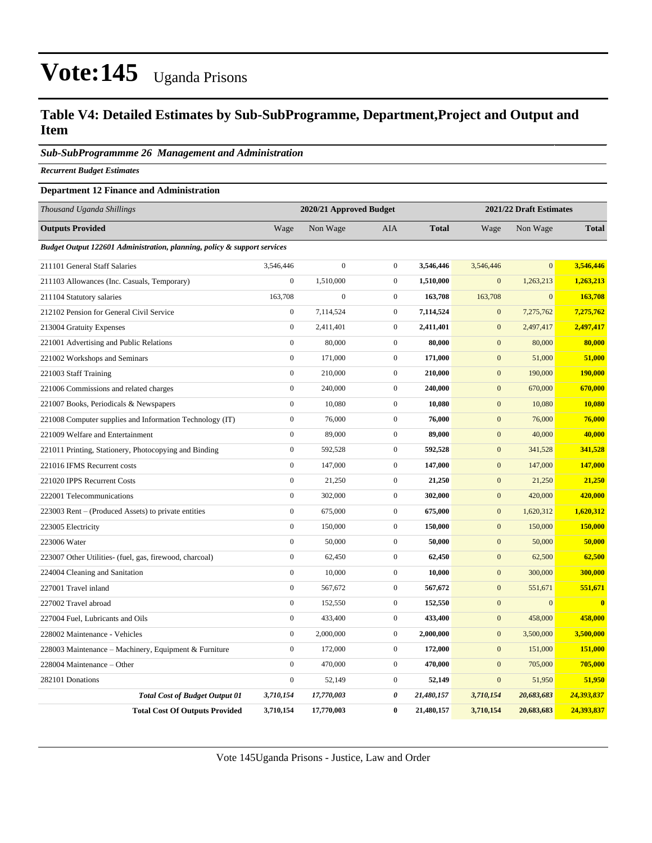#### **Table V4: Detailed Estimates by Sub-SubProgramme, Department,Project and Output and Item**

#### *Sub-SubProgrammme 26 Management and Administration*

*Recurrent Budget Estimates*

#### **Department 12 Finance and Administration**

| Thousand Uganda Shillings                                                |                  | 2021/22 Draft Estimates<br>2020/21 Approved Budget |                  |              |                  |                  |                         |
|--------------------------------------------------------------------------|------------------|----------------------------------------------------|------------------|--------------|------------------|------------------|-------------------------|
| <b>Outputs Provided</b>                                                  | Wage             | Non Wage                                           | AIA              | <b>Total</b> | Wage             | Non Wage         | <b>Total</b>            |
| Budget Output 122601 Administration, planning, policy & support services |                  |                                                    |                  |              |                  |                  |                         |
| 211101 General Staff Salaries                                            | 3,546,446        | $\mathbf{0}$                                       | $\mathbf{0}$     | 3,546,446    | 3,546,446        | $\mathbf{0}$     | 3,546,446               |
| 211103 Allowances (Inc. Casuals, Temporary)                              | $\boldsymbol{0}$ | 1,510,000                                          | $\boldsymbol{0}$ | 1,510,000    | $\boldsymbol{0}$ | 1,263,213        | 1,263,213               |
| 211104 Statutory salaries                                                | 163,708          | $\boldsymbol{0}$                                   | $\overline{0}$   | 163,708      | 163,708          | $\boldsymbol{0}$ | 163,708                 |
| 212102 Pension for General Civil Service                                 | $\mathbf{0}$     | 7,114,524                                          | $\overline{0}$   | 7,114,524    | $\mathbf{0}$     | 7,275,762        | 7,275,762               |
| 213004 Gratuity Expenses                                                 | $\mathbf{0}$     | 2,411,401                                          | $\overline{0}$   | 2,411,401    | $\mathbf{0}$     | 2,497,417        | 2,497,417               |
| 221001 Advertising and Public Relations                                  | $\mathbf{0}$     | 80,000                                             | $\overline{0}$   | 80,000       | $\mathbf{0}$     | 80,000           | 80,000                  |
| 221002 Workshops and Seminars                                            | $\mathbf{0}$     | 171,000                                            | $\overline{0}$   | 171,000      | $\mathbf{0}$     | 51,000           | 51,000                  |
| 221003 Staff Training                                                    | $\mathbf{0}$     | 210,000                                            | $\overline{0}$   | 210,000      | $\mathbf{0}$     | 190,000          | 190,000                 |
| 221006 Commissions and related charges                                   | $\mathbf{0}$     | 240,000                                            | $\overline{0}$   | 240,000      | $\mathbf{0}$     | 670,000          | 670,000                 |
| 221007 Books, Periodicals & Newspapers                                   | $\boldsymbol{0}$ | 10,080                                             | $\boldsymbol{0}$ | 10,080       | $\boldsymbol{0}$ | 10,080           | 10,080                  |
| 221008 Computer supplies and Information Technology (IT)                 | $\boldsymbol{0}$ | 76,000                                             | $\overline{0}$   | 76,000       | $\boldsymbol{0}$ | 76,000           | 76,000                  |
| 221009 Welfare and Entertainment                                         | $\mathbf{0}$     | 89,000                                             | $\overline{0}$   | 89,000       | $\mathbf{0}$     | 40,000           | 40,000                  |
| 221011 Printing, Stationery, Photocopying and Binding                    | $\mathbf{0}$     | 592,528                                            | $\overline{0}$   | 592,528      | $\mathbf{0}$     | 341,528          | 341,528                 |
| 221016 IFMS Recurrent costs                                              | $\mathbf{0}$     | 147,000                                            | $\overline{0}$   | 147,000      | $\mathbf{0}$     | 147,000          | 147,000                 |
| 221020 IPPS Recurrent Costs                                              | $\mathbf{0}$     | 21,250                                             | $\overline{0}$   | 21,250       | $\mathbf{0}$     | 21,250           | 21,250                  |
| 222001 Telecommunications                                                | $\mathbf{0}$     | 302,000                                            | $\overline{0}$   | 302,000      | $\mathbf{0}$     | 420,000          | 420,000                 |
| 223003 Rent – (Produced Assets) to private entities                      | $\boldsymbol{0}$ | 675,000                                            | $\overline{0}$   | 675,000      | $\mathbf{0}$     | 1,620,312        | 1,620,312               |
| 223005 Electricity                                                       | $\boldsymbol{0}$ | 150,000                                            | $\overline{0}$   | 150,000      | $\boldsymbol{0}$ | 150,000          | 150,000                 |
| 223006 Water                                                             | $\mathbf{0}$     | 50,000                                             | $\mathbf{0}$     | 50,000       | $\boldsymbol{0}$ | 50,000           | 50,000                  |
| 223007 Other Utilities- (fuel, gas, firewood, charcoal)                  | $\mathbf{0}$     | 62,450                                             | $\overline{0}$   | 62,450       | $\mathbf{0}$     | 62,500           | 62,500                  |
| 224004 Cleaning and Sanitation                                           | $\mathbf{0}$     | 10,000                                             | $\overline{0}$   | 10,000       | $\mathbf{0}$     | 300,000          | 300,000                 |
| 227001 Travel inland                                                     | $\mathbf{0}$     | 567,672                                            | $\overline{0}$   | 567,672      | $\mathbf{0}$     | 551,671          | 551,671                 |
| 227002 Travel abroad                                                     | $\mathbf{0}$     | 152,550                                            | $\overline{0}$   | 152,550      | $\mathbf{0}$     | $\mathbf{0}$     | $\overline{\mathbf{0}}$ |
| 227004 Fuel, Lubricants and Oils                                         | $\mathbf{0}$     | 433,400                                            | $\overline{0}$   | 433,400      | $\mathbf{0}$     | 458,000          | 458,000                 |
| 228002 Maintenance - Vehicles                                            | $\boldsymbol{0}$ | 2,000,000                                          | $\mathbf{0}$     | 2,000,000    | $\mathbf{0}$     | 3,500,000        | 3,500,000               |
| 228003 Maintenance - Machinery, Equipment & Furniture                    | $\boldsymbol{0}$ | 172,000                                            | $\overline{0}$   | 172,000      | $\mathbf{0}$     | 151,000          | 151,000                 |
| 228004 Maintenance - Other                                               | $\mathbf{0}$     | 470,000                                            | $\overline{0}$   | 470,000      | $\mathbf{0}$     | 705,000          | 705,000                 |
| 282101 Donations                                                         | $\mathbf{0}$     | 52,149                                             | $\overline{0}$   | 52,149       | $\mathbf{0}$     | 51,950           | 51,950                  |
| <b>Total Cost of Budget Output 01</b>                                    | 3,710,154        | 17,770,003                                         | 0                | 21,480,157   | 3,710,154        | 20,683,683       | 24,393,837              |
| <b>Total Cost Of Outputs Provided</b>                                    | 3,710,154        | 17,770,003                                         | $\bf{0}$         | 21,480,157   | 3,710,154        | 20,683,683       | 24,393,837              |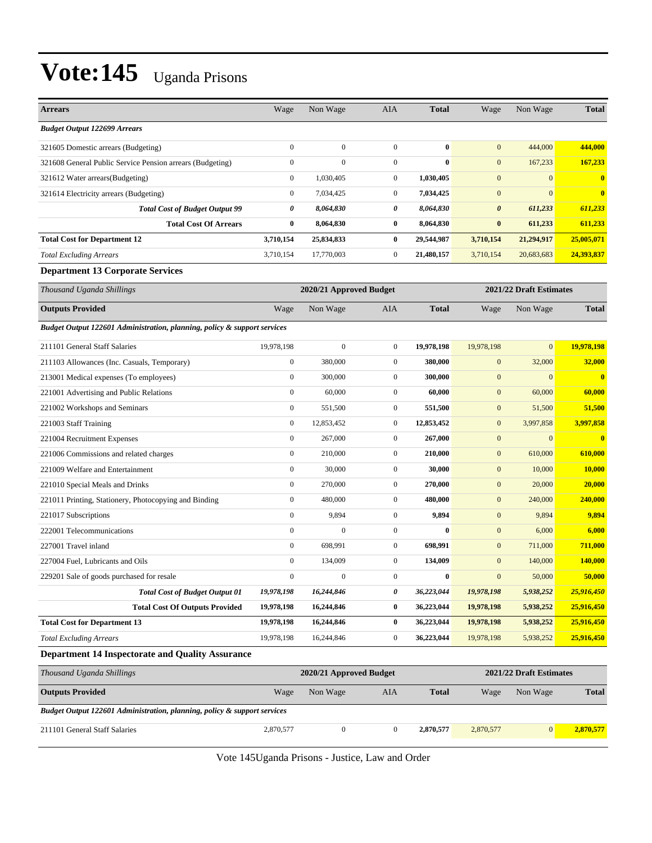| <b>Arrears</b>                                                           | Wage             | Non Wage                | <b>AIA</b>       | <b>Total</b> | Wage                    | Non Wage                | <b>Total</b>   |
|--------------------------------------------------------------------------|------------------|-------------------------|------------------|--------------|-------------------------|-------------------------|----------------|
| <b>Budget Output 122699 Arrears</b>                                      |                  |                         |                  |              |                         |                         |                |
| 321605 Domestic arrears (Budgeting)                                      | $\mathbf{0}$     | $\overline{0}$          | $\boldsymbol{0}$ | $\bf{0}$     | $\mathbf{0}$            | 444,000                 | 444,000        |
| 321608 General Public Service Pension arrears (Budgeting)                | $\boldsymbol{0}$ | $\mathbf{0}$            | $\boldsymbol{0}$ | $\bf{0}$     | $\mathbf{0}$            | 167,233                 | 167,233        |
| 321612 Water arrears (Budgeting)                                         | $\mathbf{0}$     | 1,030,405               | $\boldsymbol{0}$ | 1,030,405    | $\boldsymbol{0}$        | $\overline{0}$          | $\bf{0}$       |
| 321614 Electricity arrears (Budgeting)                                   | $\mathbf{0}$     | 7,034,425               | $\boldsymbol{0}$ | 7,034,425    | $\boldsymbol{0}$        | $\overline{0}$          | $\bf{0}$       |
| <b>Total Cost of Budget Output 99</b>                                    | 0                | 8,064,830               | 0                | 8,064,830    | $\boldsymbol{\theta}$   | 611,233                 | 611,233        |
| <b>Total Cost Of Arrears</b>                                             | $\bf{0}$         | 8,064,830               | $\bf{0}$         | 8,064,830    | $\bf{0}$                | 611,233                 | 611,233        |
| <b>Total Cost for Department 12</b>                                      | 3,710,154        | 25,834,833              | $\bf{0}$         | 29,544,987   | 3,710,154               | 21,294,917              | 25,005,071     |
| <b>Total Excluding Arrears</b>                                           | 3,710,154        | 17,770,003              | $\boldsymbol{0}$ | 21,480,157   | 3,710,154               | 20,683,683              | 24,393,837     |
| <b>Department 13 Corporate Services</b>                                  |                  |                         |                  |              |                         |                         |                |
| Thousand Uganda Shillings                                                |                  | 2020/21 Approved Budget |                  |              |                         | 2021/22 Draft Estimates |                |
| <b>Outputs Provided</b>                                                  | Wage             | Non Wage                | AIA              | <b>Total</b> | Wage                    | Non Wage                | <b>Total</b>   |
| Budget Output 122601 Administration, planning, policy & support services |                  |                         |                  |              |                         |                         |                |
| 211101 General Staff Salaries                                            | 19,978,198       | $\mathbf{0}$            | $\boldsymbol{0}$ | 19,978,198   | 19,978,198              | $\overline{0}$          | 19.978.198     |
| 211103 Allowances (Inc. Casuals, Temporary)                              | $\boldsymbol{0}$ | 380,000                 | $\boldsymbol{0}$ | 380,000      | $\boldsymbol{0}$        | 32,000                  | 32,000         |
| 213001 Medical expenses (To employees)                                   | $\mathbf{0}$     | 300,000                 | $\boldsymbol{0}$ | 300,000      | $\boldsymbol{0}$        | $\overline{0}$          | $\bf{0}$       |
| 221001 Advertising and Public Relations                                  | $\boldsymbol{0}$ | 60,000                  | $\boldsymbol{0}$ | 60,000       | $\mathbf{0}$            | 60,000                  | 60,000         |
| 221002 Workshops and Seminars                                            | $\boldsymbol{0}$ | 551,500                 | $\boldsymbol{0}$ | 551,500      | $\boldsymbol{0}$        | 51,500                  | 51,500         |
| 221003 Staff Training                                                    | $\boldsymbol{0}$ | 12,853,452              | $\boldsymbol{0}$ | 12,853,452   | $\mathbf{0}$            | 3,997,858               | 3,997,858      |
| 221004 Recruitment Expenses                                              | $\boldsymbol{0}$ | 267,000                 | $\boldsymbol{0}$ | 267,000      | $\boldsymbol{0}$        | $\mathbf{0}$            | $\bf{0}$       |
| 221006 Commissions and related charges                                   | $\mathbf{0}$     | 210,000                 | $\boldsymbol{0}$ | 210,000      | $\boldsymbol{0}$        | 610,000                 | 610,000        |
| 221009 Welfare and Entertainment                                         | $\boldsymbol{0}$ | 30,000                  | $\boldsymbol{0}$ | 30,000       | $\mathbf{0}$            | 10,000                  | 10,000         |
| 221010 Special Meals and Drinks                                          | $\boldsymbol{0}$ | 270,000                 | $\mathbf{0}$     | 270,000      | $\boldsymbol{0}$        | 20,000                  | 20,000         |
| 221011 Printing, Stationery, Photocopying and Binding                    | $\mathbf{0}$     | 480,000                 | $\boldsymbol{0}$ | 480,000      | $\mathbf{0}$            | 240,000                 | 240,000        |
| 221017 Subscriptions                                                     | $\boldsymbol{0}$ | 9,894                   | $\boldsymbol{0}$ | 9,894        | $\boldsymbol{0}$        | 9,894                   | 9,894          |
| 222001 Telecommunications                                                | $\mathbf{0}$     | $\mathbf{0}$            | $\mathbf{0}$     | $\bf{0}$     | $\mathbf{0}$            | 6,000                   | 6,000          |
| 227001 Travel inland                                                     | $\boldsymbol{0}$ | 698,991                 | $\boldsymbol{0}$ | 698,991      | $\mathbf{0}$            | 711,000                 | 711,000        |
| 227004 Fuel, Lubricants and Oils                                         | $\mathbf{0}$     | 134,009                 | $\mathbf{0}$     | 134,009      | $\boldsymbol{0}$        | 140,000                 | <b>140,000</b> |
| 229201 Sale of goods purchased for resale                                | $\boldsymbol{0}$ | $\boldsymbol{0}$        | $\boldsymbol{0}$ | $\bf{0}$     | $\mathbf{0}$            | 50,000                  | 50,000         |
| <b>Total Cost of Budget Output 01</b>                                    | 19,978,198       | 16,244,846              | 0                | 36,223,044   | 19,978,198              | 5,938,252               | 25,916,450     |
| <b>Total Cost Of Outputs Provided</b>                                    | 19,978,198       | 16,244,846              | $\boldsymbol{0}$ | 36,223,044   | 19,978,198              | 5,938,252               | 25,916,450     |
| <b>Total Cost for Department 13</b>                                      | 19,978,198       | 16,244,846              | $\bf{0}$         | 36,223,044   | 19,978,198              | 5,938,252               | 25,916,450     |
| <b>Total Excluding Arrears</b>                                           | 19,978,198       | 16,244,846              | $\boldsymbol{0}$ | 36,223,044   | 19,978,198              | 5,938,252               | 25,916,450     |
| <b>Department 14 Inspectorate and Quality Assurance</b>                  |                  |                         |                  |              |                         |                         |                |
| Thousand Uganda Shillings                                                |                  | 2020/21 Approved Budget |                  |              | 2021/22 Draft Estimates |                         |                |
| <b>Outputs Provided</b>                                                  | Wage             | Non Wage                | AIA              | <b>Total</b> | Wage                    | Non Wage                | <b>Total</b>   |
| Budget Output 122601 Administration, planning, policy & support services |                  |                         |                  |              |                         |                         |                |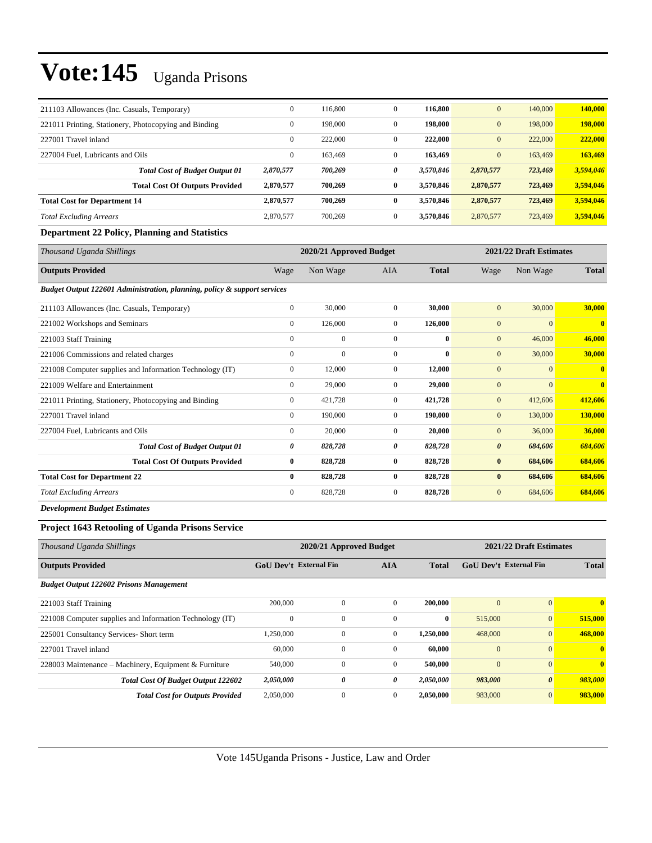| 211103 Allowances (Inc. Casuals, Temporary)           | $\mathbf{0}$ | 116,800 | $\mathbf{0}$ | 116,800   | $\mathbf{0}$ | 140,000 | 140,000   |
|-------------------------------------------------------|--------------|---------|--------------|-----------|--------------|---------|-----------|
| 221011 Printing, Stationery, Photocopying and Binding | $\mathbf{0}$ | 198,000 | $\mathbf{0}$ | 198,000   | $\mathbf{0}$ | 198,000 | 198,000   |
| 227001 Travel inland                                  | $\mathbf{0}$ | 222,000 | $\mathbf{0}$ | 222,000   | $\mathbf{0}$ | 222,000 | 222,000   |
| 227004 Fuel. Lubricants and Oils                      | $\mathbf{0}$ | 163.469 | $\mathbf{0}$ | 163,469   | $\mathbf{0}$ | 163,469 | 163,469   |
| <b>Total Cost of Budget Output 01</b>                 | 2,870,577    | 700,269 | 0            | 3.570.846 | 2,870,577    | 723,469 | 3,594,046 |
| <b>Total Cost Of Outputs Provided</b>                 | 2,870,577    | 700.269 | 0            | 3.570.846 | 2,870,577    | 723,469 | 3,594,046 |
| <b>Total Cost for Department 14</b>                   | 2,870,577    | 700.269 | $\bf{0}$     | 3.570.846 | 2,870,577    | 723,469 | 3,594,046 |
| <b>Total Excluding Arrears</b>                        | 2,870,577    | 700,269 | $\mathbf{0}$ | 3.570.846 | 2,870,577    | 723,469 | 3,594,046 |
| Donoutment 22 Dollar, Dlamping and Ctatistics         |              |         |              |           |              |         |           |

#### **Department 22 Policy, Planning and Statistics**

| Thousand Uganda Shillings                                                |                | 2020/21 Approved Budget |                |              |                       | 2021/22 Draft Estimates |                |  |
|--------------------------------------------------------------------------|----------------|-------------------------|----------------|--------------|-----------------------|-------------------------|----------------|--|
| <b>Outputs Provided</b>                                                  | Wage           | Non Wage                | <b>AIA</b>     | <b>Total</b> | Wage                  | Non Wage                | <b>Total</b>   |  |
| Budget Output 122601 Administration, planning, policy & support services |                |                         |                |              |                       |                         |                |  |
| 211103 Allowances (Inc. Casuals, Temporary)                              | $\bf{0}$       | 30,000                  | $\mathbf{0}$   | 30,000       | $\mathbf{0}$          | 30,000                  | 30,000         |  |
| 221002 Workshops and Seminars                                            | $\overline{0}$ | 126,000                 | $\overline{0}$ | 126,000      | $\mathbf{0}$          | $\mathbf{0}$            | $\overline{0}$ |  |
| 221003 Staff Training                                                    | $\mathbf{0}$   | $\mathbf{0}$            | $\mathbf{0}$   | $\bf{0}$     | $\mathbf{0}$          | 46,000                  | 46,000         |  |
| 221006 Commissions and related charges                                   | $\mathbf{0}$   | $\mathbf{0}$            | $\mathbf{0}$   | $\bf{0}$     | $\mathbf{0}$          | 30,000                  | 30,000         |  |
| 221008 Computer supplies and Information Technology (IT)                 | $\mathbf{0}$   | 12,000                  | $\overline{0}$ | 12,000       | $\mathbf{0}$          | $\overline{0}$          | $\bf{0}$       |  |
| 221009 Welfare and Entertainment                                         | $\mathbf{0}$   | 29,000                  | $\overline{0}$ | 29,000       | $\mathbf{0}$          | $\mathbf{0}$            | $\mathbf{0}$   |  |
| 221011 Printing, Stationery, Photocopying and Binding                    | $\mathbf{0}$   | 421,728                 | $\overline{0}$ | 421,728      | $\mathbf{0}$          | 412,606                 | 412,606        |  |
| 227001 Travel inland                                                     | $\mathbf{0}$   | 190,000                 | $\overline{0}$ | 190,000      | $\mathbf{0}$          | 130,000                 | 130,000        |  |
| 227004 Fuel, Lubricants and Oils                                         | $\mathbf{0}$   | 20,000                  | $\overline{0}$ | 20,000       | $\mathbf{0}$          | 36,000                  | 36,000         |  |
| <b>Total Cost of Budget Output 01</b>                                    | 0              | 828,728                 | 0              | 828,728      | $\boldsymbol{\theta}$ | 684,606                 | 684,606        |  |
| <b>Total Cost Of Outputs Provided</b>                                    | $\bf{0}$       | 828,728                 | $\bf{0}$       | 828,728      | $\bf{0}$              | 684,606                 | 684,606        |  |
| <b>Total Cost for Department 22</b>                                      | $\mathbf{0}$   | 828,728                 | $\bf{0}$       | 828,728      | $\bf{0}$              | 684,606                 | 684,606        |  |
| <b>Total Excluding Arrears</b>                                           | $\mathbf{0}$   | 828,728                 | $\overline{0}$ | 828,728      | $\mathbf{0}$          | 684,606                 | 684,606        |  |
| <b>Development Budget Estimates</b>                                      |                |                         |                |              |                       |                         |                |  |

**Project 1643 Retooling of Uganda Prisons Service** 

| Thousand Uganda Shillings                                |                               | 2020/21 Approved Budget |              | 2021/22 Draft Estimates |                |                               |              |
|----------------------------------------------------------|-------------------------------|-------------------------|--------------|-------------------------|----------------|-------------------------------|--------------|
| <b>Outputs Provided</b>                                  | <b>GoU Dev't External Fin</b> |                         | <b>AIA</b>   | <b>Total</b>            |                | <b>GoU</b> Dev't External Fin | <b>Total</b> |
| <b>Budget Output 122602 Prisons Management</b>           |                               |                         |              |                         |                |                               |              |
| 221003 Staff Training                                    | 200,000                       | $\mathbf{0}$            | $\Omega$     | 200,000                 | $\mathbf{0}$   | $\Omega$                      | $\mathbf{0}$ |
| 221008 Computer supplies and Information Technology (IT) | $\theta$                      | $\mathbf{0}$            | $\mathbf{0}$ | $\bf{0}$                | 515,000        | $\overline{0}$                | 515,000      |
| 225001 Consultancy Services- Short term                  | 1,250,000                     | $\mathbf{0}$            | $\mathbf{0}$ | 1,250,000               | 468,000        | $\overline{0}$                | 468,000      |
| 227001 Travel inland                                     | 60,000                        | $\mathbf{0}$            | $\Omega$     | 60,000                  | $\overline{0}$ | $\mathbf{0}$                  | $\mathbf{0}$ |
| 228003 Maintenance - Machinery, Equipment & Furniture    | 540,000                       | $\mathbf{0}$            | $\mathbf{0}$ | 540,000                 | $\mathbf{0}$   | $\mathbf{0}$                  | $\mathbf{0}$ |
| <b>Total Cost Of Budget Output 122602</b>                | 2,050,000                     | 0                       | 0            | 2,050,000               | 983,000        | $\boldsymbol{\theta}$         | 983,000      |
| <b>Total Cost for Outputs Provided</b>                   | 2,050,000                     | $\mathbf{0}$            | $\mathbf{0}$ | 2,050,000               | 983,000        | $\overline{0}$                | 983,000      |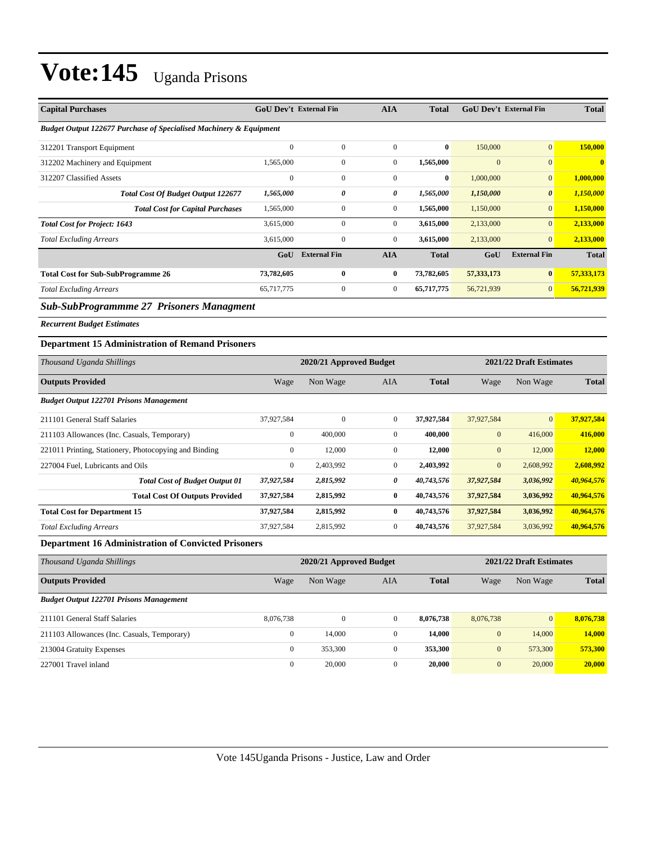| <b>Capital Purchases</b>                                           |                  | <b>GoU Dev't External Fin</b> | <b>AIA</b>       | <b>Total</b> |                  | <b>GoU Dev't External Fin</b> | <b>Total</b>  |
|--------------------------------------------------------------------|------------------|-------------------------------|------------------|--------------|------------------|-------------------------------|---------------|
| Budget Output 122677 Purchase of Specialised Machinery & Equipment |                  |                               |                  |              |                  |                               |               |
| 312201 Transport Equipment                                         | $\boldsymbol{0}$ | $\boldsymbol{0}$              | $\boldsymbol{0}$ | $\bf{0}$     | 150,000          | $\mathbf{0}$                  | 150,000       |
| 312202 Machinery and Equipment                                     | 1,565,000        | $\boldsymbol{0}$              | $\boldsymbol{0}$ | 1,565,000    | $\mathbf{0}$     | $\mathbf{0}$                  | $\bf{0}$      |
| 312207 Classified Assets                                           | $\boldsymbol{0}$ | $\boldsymbol{0}$              | $\boldsymbol{0}$ | $\bf{0}$     | 1,000,000        | $\mathbf{0}$                  | 1.000.000     |
| Total Cost Of Budget Output 122677                                 | 1,565,000        | $\pmb{\theta}$                | 0                | 1,565,000    | 1,150,000        | $\boldsymbol{\theta}$         | 1,150,000     |
| <b>Total Cost for Capital Purchases</b>                            | 1,565,000        | $\boldsymbol{0}$              | $\boldsymbol{0}$ | 1,565,000    | 1,150,000        | $\mathbf{0}$                  | 1,150,000     |
| <b>Total Cost for Project: 1643</b>                                | 3,615,000        | $\mathbf{0}$                  | $\boldsymbol{0}$ | 3,615,000    | 2,133,000        | $\mathbf{0}$                  | 2,133,000     |
| <b>Total Excluding Arrears</b>                                     | 3,615,000        | $\boldsymbol{0}$              | $\boldsymbol{0}$ | 3,615,000    | 2,133,000        | $\mathbf{0}$                  | 2,133,000     |
|                                                                    | GoU              | <b>External Fin</b>           | <b>AIA</b>       | <b>Total</b> | GoU              | <b>External Fin</b>           | <b>Total</b>  |
| <b>Total Cost for Sub-SubProgramme 26</b>                          | 73,782,605       | $\bf{0}$                      | $\bf{0}$         | 73,782,605   | 57,333,173       | $\bf{0}$                      | 57,333,173    |
| <b>Total Excluding Arrears</b>                                     | 65,717,775       | $\boldsymbol{0}$              | $\boldsymbol{0}$ | 65,717,775   | 56,721,939       | $\mathbf{0}$                  | 56,721,939    |
| <b>Sub-SubProgrammme 27 Prisoners Managment</b>                    |                  |                               |                  |              |                  |                               |               |
| <b>Recurrent Budget Estimates</b>                                  |                  |                               |                  |              |                  |                               |               |
| <b>Department 15 Administration of Remand Prisoners</b>            |                  |                               |                  |              |                  |                               |               |
| Thousand Uganda Shillings                                          |                  | 2020/21 Approved Budget       |                  |              |                  | 2021/22 Draft Estimates       |               |
| <b>Outputs Provided</b>                                            | Wage             | Non Wage                      | AIA              | <b>Total</b> | Wage             | Non Wage                      | <b>Total</b>  |
| <b>Budget Output 122701 Prisons Management</b>                     |                  |                               |                  |              |                  |                               |               |
| 211101 General Staff Salaries                                      | 37,927,584       | $\boldsymbol{0}$              | $\mathbf{0}$     | 37,927,584   | 37,927,584       | $\mathbf{0}$                  | 37,927,584    |
| 211103 Allowances (Inc. Casuals, Temporary)                        | $\boldsymbol{0}$ | 400,000                       | $\mathbf{0}$     | 400,000      | $\mathbf{0}$     | 416,000                       | 416,000       |
| 221011 Printing, Stationery, Photocopying and Binding              | $\boldsymbol{0}$ | 12,000                        | $\mathbf{0}$     | 12,000       | $\mathbf{0}$     | 12,000                        | <b>12,000</b> |
| 227004 Fuel, Lubricants and Oils                                   | $\boldsymbol{0}$ | 2,403,992                     | $\mathbf{0}$     | 2,403,992    | $\mathbf{0}$     | 2,608,992                     | 2,608,992     |
| <b>Total Cost of Budget Output 01</b>                              | 37,927,584       | 2,815,992                     | 0                | 40,743,576   | 37,927,584       | 3,036,992                     | 40,964,576    |
| <b>Total Cost Of Outputs Provided</b>                              | 37,927,584       | 2,815,992                     | $\bf{0}$         | 40,743,576   | 37,927,584       | 3,036,992                     | 40,964,576    |
| <b>Total Cost for Department 15</b>                                | 37,927,584       | 2,815,992                     | $\bf{0}$         | 40,743,576   | 37,927,584       | 3,036,992                     | 40,964,576    |
| <b>Total Excluding Arrears</b>                                     | 37,927,584       | 2,815,992                     | $\mathbf{0}$     | 40,743,576   | 37,927,584       | 3,036,992                     | 40,964,576    |
| <b>Department 16 Administration of Convicted Prisoners</b>         |                  |                               |                  |              |                  |                               |               |
| Thousand Uganda Shillings                                          |                  | 2020/21 Approved Budget       |                  |              |                  | 2021/22 Draft Estimates       |               |
| <b>Outputs Provided</b>                                            | Wage             | Non Wage                      | ${\rm AIA}$      | <b>Total</b> | Wage             | Non Wage                      | <b>Total</b>  |
| <b>Budget Output 122701 Prisons Management</b>                     |                  |                               |                  |              |                  |                               |               |
| 211101 General Staff Salaries                                      | 8,076,738        | $\boldsymbol{0}$              | $\mathbf{0}$     | 8,076,738    | 8,076,738        | 0                             | 8,076,738     |
| 211103 Allowances (Inc. Casuals, Temporary)                        | $\boldsymbol{0}$ | 14,000                        | $\boldsymbol{0}$ | 14,000       | $\boldsymbol{0}$ | 14,000                        | 14,000        |
| 213004 Gratuity Expenses                                           | $\boldsymbol{0}$ | 353,300                       | $\boldsymbol{0}$ | 353,300      | $\boldsymbol{0}$ | 573,300                       | 573,300       |
| 227001 Travel inland                                               | $\boldsymbol{0}$ | 20,000                        | $\mathbf{0}$     | 20,000       | $\mathbf{0}$     | 20,000                        | 20,000        |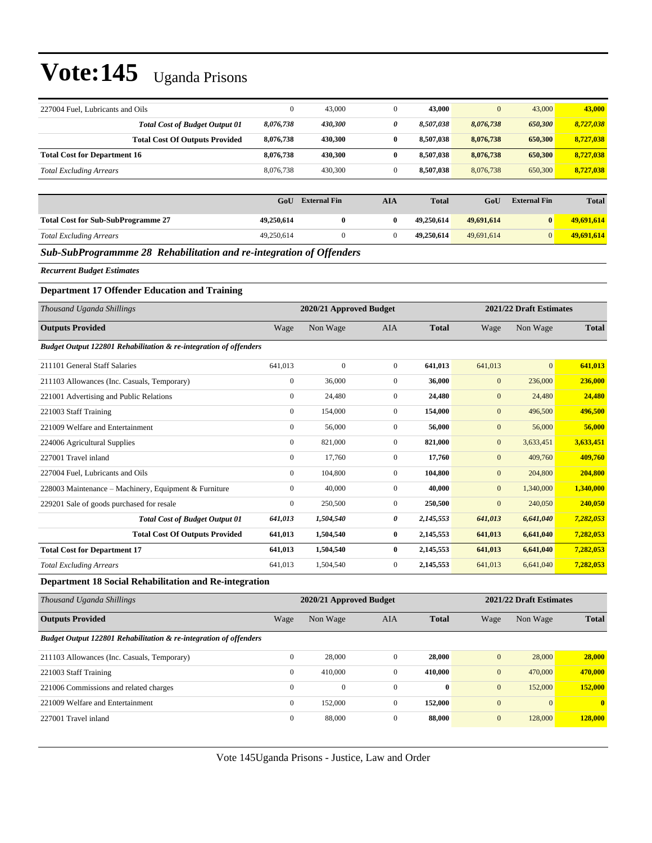| 227004 Fuel, Lubricants and Oils                                    | $\boldsymbol{0}$ | 43,000                  | $\boldsymbol{0}$ | 43,000       | $\mathbf{0}$     | 43,000                  | 43,000       |
|---------------------------------------------------------------------|------------------|-------------------------|------------------|--------------|------------------|-------------------------|--------------|
| <b>Total Cost of Budget Output 01</b>                               | 8,076,738        | 430,300                 | 0                | 8,507,038    | 8,076,738        | 650,300                 | 8,727,038    |
| <b>Total Cost Of Outputs Provided</b>                               | 8,076,738        | 430,300                 | $\bf{0}$         | 8,507,038    | 8,076,738        | 650,300                 | 8,727,038    |
| <b>Total Cost for Department 16</b>                                 | 8,076,738        | 430,300                 | $\bf{0}$         | 8,507,038    | 8,076,738        | 650,300                 | 8,727,038    |
| <b>Total Excluding Arrears</b>                                      | 8,076,738        | 430,300                 | $\overline{0}$   | 8,507,038    | 8,076,738        | 650,300                 | 8,727,038    |
|                                                                     |                  |                         |                  |              |                  |                         |              |
|                                                                     | GoU              | <b>External Fin</b>     | <b>AIA</b>       | <b>Total</b> | GoU              | <b>External Fin</b>     | <b>Total</b> |
| <b>Total Cost for Sub-SubProgramme 27</b>                           | 49,250,614       | $\bf{0}$                | $\bf{0}$         | 49,250,614   | 49,691,614       | $\pmb{0}$               | 49,691,614   |
| <b>Total Excluding Arrears</b>                                      | 49,250,614       | $\overline{0}$          | $\overline{0}$   | 49,250,614   | 49,691,614       | $\mathbf{0}$            | 49,691,614   |
| Sub-SubProgrammme 28 Rehabilitation and re-integration of Offenders |                  |                         |                  |              |                  |                         |              |
| <b>Recurrent Budget Estimates</b>                                   |                  |                         |                  |              |                  |                         |              |
| <b>Department 17 Offender Education and Training</b>                |                  |                         |                  |              |                  |                         |              |
| Thousand Uganda Shillings                                           |                  | 2020/21 Approved Budget |                  |              |                  | 2021/22 Draft Estimates |              |
| <b>Outputs Provided</b>                                             | Wage             | Non Wage                | AIA              | <b>Total</b> | Wage             | Non Wage                | <b>Total</b> |
| Budget Output 122801 Rehabilitation & re-integration of offenders   |                  |                         |                  |              |                  |                         |              |
| 211101 General Staff Salaries                                       | 641,013          | $\boldsymbol{0}$        | $\mathbf{0}$     | 641,013      | 641,013          | $\mathbf{0}$            | 641,013      |
| 211103 Allowances (Inc. Casuals, Temporary)                         | $\boldsymbol{0}$ | 36,000                  | $\mathbf{0}$     | 36,000       | $\boldsymbol{0}$ | 236,000                 | 236,000      |
| 221001 Advertising and Public Relations                             | $\boldsymbol{0}$ | 24,480                  | $\boldsymbol{0}$ | 24,480       | $\mathbf{0}$     | 24,480                  | 24,480       |
| 221003 Staff Training                                               | $\boldsymbol{0}$ | 154,000                 | $\boldsymbol{0}$ | 154,000      | $\mathbf{0}$     | 496,500                 | 496,500      |
| 221009 Welfare and Entertainment                                    | $\boldsymbol{0}$ | 56,000                  | $\boldsymbol{0}$ | 56,000       | $\mathbf{0}$     | 56,000                  | 56,000       |
| 224006 Agricultural Supplies                                        | $\boldsymbol{0}$ | 821,000                 | $\boldsymbol{0}$ | 821,000      | $\boldsymbol{0}$ | 3,633,451               | 3,633,451    |
| 227001 Travel inland                                                | $\boldsymbol{0}$ | 17,760                  | $\mathbf{0}$     | 17,760       | $\mathbf{0}$     | 409,760                 | 409,760      |
| 227004 Fuel, Lubricants and Oils                                    | $\boldsymbol{0}$ | 104,800                 | $\boldsymbol{0}$ | 104,800      | $\mathbf{0}$     | 204,800                 | 204,800      |
| 228003 Maintenance - Machinery, Equipment & Furniture               | $\boldsymbol{0}$ | 40,000                  | $\mathbf{0}$     | 40,000       | $\mathbf{0}$     | 1,340,000               | 1,340,000    |
| 229201 Sale of goods purchased for resale                           | $\boldsymbol{0}$ | 250,500                 | $\mathbf{0}$     | 250,500      | $\mathbf{0}$     | 240,050                 | 240,050      |
| <b>Total Cost of Budget Output 01</b>                               | 641,013          | 1,504,540               | 0                | 2,145,553    | 641,013          | 6,641,040               | 7,282,053    |
| <b>Total Cost Of Outputs Provided</b>                               | 641,013          | 1,504,540               | $\bf{0}$         | 2,145,553    | 641,013          | 6,641,040               | 7,282,053    |
| <b>Total Cost for Department 17</b>                                 | 641,013          | 1,504,540               | $\bf{0}$         | 2,145,553    | 641,013          | 6,641,040               | 7,282,053    |
| <b>Total Excluding Arrears</b>                                      | 641,013          | 1,504,540               | $\boldsymbol{0}$ | 2,145,553    | 641,013          | 6,641,040               | 7,282,053    |
| Department 18 Social Rehabilitation and Re-integration              |                  |                         |                  |              |                  |                         |              |
| Thousand Uganda Shillings                                           |                  | 2020/21 Approved Budget |                  |              |                  | 2021/22 Draft Estimates |              |
| <b>Outputs Provided</b>                                             | Wage             | Non Wage                | AIA              | <b>Total</b> | Wage             | Non Wage                | <b>Total</b> |
| Budget Output 122801 Rehabilitation & re-integration of offenders   |                  |                         |                  |              |                  |                         |              |
| 211103 Allowances (Inc. Casuals, Temporary)                         | $\boldsymbol{0}$ | 28,000                  | $\boldsymbol{0}$ | 28,000       | $\boldsymbol{0}$ | 28,000                  | 28,000       |
| 221003 Staff Training                                               | $\boldsymbol{0}$ | 410,000                 | $\boldsymbol{0}$ | 410,000      | $\boldsymbol{0}$ | 470,000                 | 470,000      |
| 221006 Commissions and related charges                              | $\boldsymbol{0}$ | $\mathbf{0}$            | $\boldsymbol{0}$ | $\bf{0}$     | $\boldsymbol{0}$ | 152,000                 | 152,000      |
| 221009 Welfare and Entertainment                                    | $\boldsymbol{0}$ | 152,000                 | $\boldsymbol{0}$ | 152,000      | $\boldsymbol{0}$ | $\mathbf{0}$            | $\bf{0}$     |
| 227001 Travel inland                                                | $\boldsymbol{0}$ | 88,000                  | $\boldsymbol{0}$ | 88,000       | $\boldsymbol{0}$ | 128,000                 | 128,000      |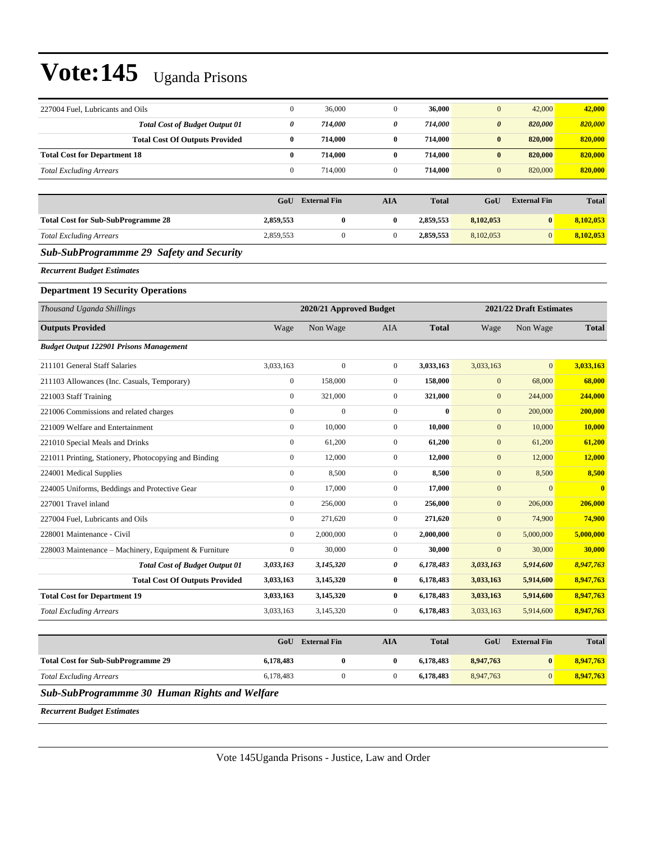| $\boldsymbol{0}$ | 36,000                                                                         | $\mathbf{0}$                                | 36,000                              | $\mathbf{0}$           | 42,000                 | 42,000                              |
|------------------|--------------------------------------------------------------------------------|---------------------------------------------|-------------------------------------|------------------------|------------------------|-------------------------------------|
| $\pmb{\theta}$   | 714,000                                                                        | 0                                           | 714,000                             | $\boldsymbol{\theta}$  | 820,000                | 820,000                             |
| $\bf{0}$         | 714,000                                                                        | $\bf{0}$                                    | 714,000                             | $\bf{0}$               | 820,000                | 820,000                             |
| $\bf{0}$         | 714,000                                                                        | $\bf{0}$                                    | 714,000                             | $\bf{0}$               | 820,000                | 820,000                             |
| $\boldsymbol{0}$ | 714,000                                                                        | $\mathbf{0}$                                | 714,000                             | $\mathbf{0}$           | 820,000                | 820,000                             |
|                  |                                                                                |                                             |                                     |                        |                        |                                     |
| GoU              | <b>External Fin</b>                                                            | <b>AIA</b>                                  | <b>Total</b>                        | GoU                    | <b>External Fin</b>    | <b>Total</b>                        |
| 2,859,553        | $\bf{0}$                                                                       | $\bf{0}$                                    | 2,859,553                           | 8,102,053              | $\bf{0}$               | 8,102,053                           |
| 2,859,553        | $\boldsymbol{0}$                                                               | $\boldsymbol{0}$                            | 2,859,553                           | 8,102,053              | $\mathbf{0}$           | 8,102,053                           |
|                  |                                                                                |                                             |                                     |                        |                        |                                     |
|                  |                                                                                |                                             |                                     |                        |                        |                                     |
|                  |                                                                                |                                             |                                     |                        |                        |                                     |
|                  |                                                                                |                                             |                                     |                        |                        |                                     |
| Wage             | Non Wage                                                                       | AIA                                         | <b>Total</b>                        | Wage                   | Non Wage               | <b>Total</b>                        |
|                  |                                                                                |                                             |                                     |                        |                        |                                     |
| 3,033,163        | $\mathbf{0}$                                                                   | $\mathbf{0}$                                | 3,033,163                           | 3,033,163              | $\mathbf{0}$           | 3,033,163                           |
| $\boldsymbol{0}$ | 158,000                                                                        | $\mathbf{0}$                                | 158,000                             | $\boldsymbol{0}$       | 68,000                 | 68,000                              |
| $\boldsymbol{0}$ | 321,000                                                                        | $\mathbf{0}$                                | 321,000                             | $\boldsymbol{0}$       | 244,000                | 244,000                             |
| $\boldsymbol{0}$ | $\mathbf{0}$                                                                   | $\mathbf{0}$                                | $\bf{0}$                            | $\mathbf{0}$           | 200,000                | 200,000                             |
| $\boldsymbol{0}$ | 10,000                                                                         | $\mathbf{0}$                                | 10,000                              | $\boldsymbol{0}$       | 10,000                 | 10,000                              |
| $\boldsymbol{0}$ | 61,200                                                                         | $\mathbf{0}$                                | 61,200                              | $\mathbf{0}$           | 61,200                 | 61,200                              |
| $\boldsymbol{0}$ | 12,000                                                                         | $\mathbf{0}$                                | 12,000                              | $\mathbf{0}$           | 12,000                 | 12,000                              |
| $\boldsymbol{0}$ | 8,500                                                                          | $\mathbf{0}$                                | 8,500                               | $\boldsymbol{0}$       | 8,500                  | 8,500                               |
| $\boldsymbol{0}$ | 17,000                                                                         | $\mathbf{0}$                                | 17,000                              | $\mathbf{0}$           | $\overline{0}$         | $\mathbf{0}$                        |
| $\boldsymbol{0}$ | 256,000                                                                        | $\mathbf{0}$                                | 256,000                             | $\boldsymbol{0}$       | 206,000                | 206,000                             |
| $\boldsymbol{0}$ | 271,620                                                                        | $\mathbf{0}$                                | 271,620                             | $\mathbf{0}$           | 74,900                 | 74,900                              |
| $\boldsymbol{0}$ | 2,000,000                                                                      | $\mathbf{0}$                                | 2,000,000                           | $\mathbf{0}$           | 5,000,000              | 5,000,000                           |
| $\boldsymbol{0}$ | 30,000                                                                         | $\mathbf{0}$                                | 30,000                              | $\mathbf{0}$           | 30,000                 | 30,000                              |
| 3,033,163        | 3,145,320                                                                      | 0                                           | 6,178,483                           | 3,033,163              | 5,914,600              | 8,947,763                           |
| 3,033,163        | 3,145,320                                                                      | $\bf{0}$                                    | 6,178,483                           | 3,033,163              | 5,914,600              | 8,947,763                           |
| 3,033,163        | 3,145,320                                                                      | $\bf{0}$                                    | 6,178,483                           | 3,033,163              | 5,914,600              | 8,947,763                           |
| 3,033,163        | 3,145,320                                                                      | $\boldsymbol{0}$                            | 6,178,483                           | 3,033,163              | 5,914,600              | 8,947,763                           |
|                  |                                                                                | <b>AIA</b>                                  | <b>Total</b>                        | GoU                    | <b>External Fin</b>    | <b>Total</b>                        |
|                  |                                                                                |                                             |                                     |                        |                        | 8,947,763                           |
|                  | $\boldsymbol{0}$                                                               | $\boldsymbol{0}$                            |                                     |                        | $\boldsymbol{0}$       | 8,947,763                           |
|                  |                                                                                |                                             |                                     |                        |                        |                                     |
|                  | 6,178,483<br>6,178,483<br><b>Sub-SubProgrammme 30 Human Rights and Welfare</b> | <b>GoU</b> External Fin<br>$\boldsymbol{0}$ | 2020/21 Approved Budget<br>$\bf{0}$ | 6,178,483<br>6,178,483 | 8,947,763<br>8,947,763 | 2021/22 Draft Estimates<br>$\bf{0}$ |

*Recurrent Budget Estimates*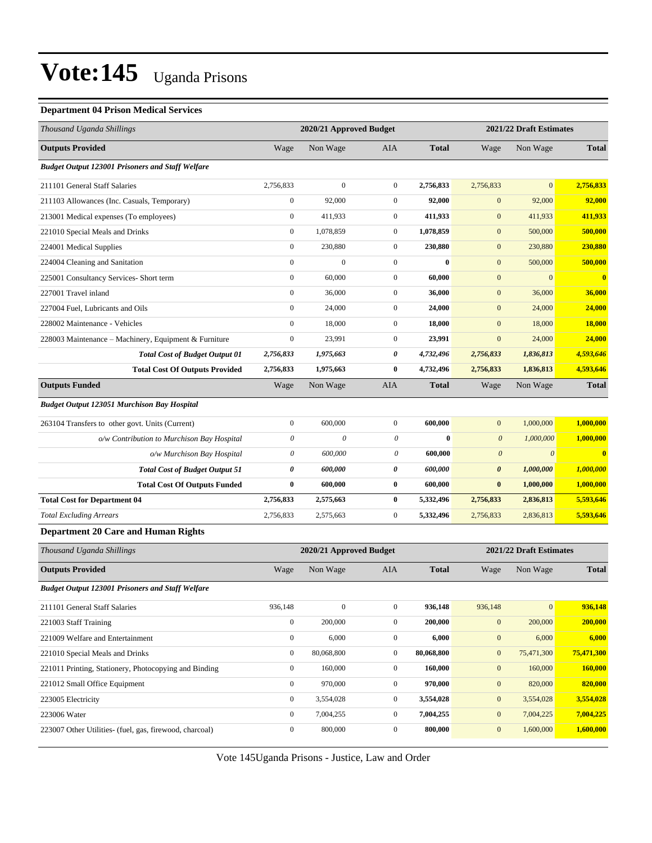#### **Department 04 Prison Medical Services**

| Thousand Uganda Shillings                               |                           | 2020/21 Approved Budget |                           |              |                           | 2021/22 Draft Estimates |              |  |
|---------------------------------------------------------|---------------------------|-------------------------|---------------------------|--------------|---------------------------|-------------------------|--------------|--|
| <b>Outputs Provided</b>                                 | Wage                      | Non Wage                | AIA                       | <b>Total</b> | Wage                      | Non Wage                | <b>Total</b> |  |
| <b>Budget Output 123001 Prisoners and Staff Welfare</b> |                           |                         |                           |              |                           |                         |              |  |
| 211101 General Staff Salaries                           | 2,756,833                 | $\mathbf{0}$            | $\mathbf{0}$              | 2,756,833    | 2,756,833                 | $\boldsymbol{0}$        | 2,756,833    |  |
| 211103 Allowances (Inc. Casuals, Temporary)             | $\boldsymbol{0}$          | 92,000                  | $\boldsymbol{0}$          | 92,000       | $\mathbf{0}$              | 92,000                  | 92,000       |  |
| 213001 Medical expenses (To employees)                  | $\boldsymbol{0}$          | 411,933                 | $\boldsymbol{0}$          | 411,933      | $\mathbf{0}$              | 411,933                 | 411,933      |  |
| 221010 Special Meals and Drinks                         | $\boldsymbol{0}$          | 1,078,859               | $\boldsymbol{0}$          | 1,078,859    | $\boldsymbol{0}$          | 500,000                 | 500,000      |  |
| 224001 Medical Supplies                                 | $\boldsymbol{0}$          | 230,880                 | $\boldsymbol{0}$          | 230,880      | $\boldsymbol{0}$          | 230,880                 | 230,880      |  |
| 224004 Cleaning and Sanitation                          | $\boldsymbol{0}$          | $\overline{0}$          | $\mathbf{0}$              | $\bf{0}$     | $\boldsymbol{0}$          | 500,000                 | 500,000      |  |
| 225001 Consultancy Services- Short term                 | $\boldsymbol{0}$          | 60,000                  | $\mathbf{0}$              | 60,000       | $\mathbf{0}$              | $\overline{0}$          | $\bf{0}$     |  |
| 227001 Travel inland                                    | $\boldsymbol{0}$          | 36,000                  | $\boldsymbol{0}$          | 36,000       | $\mathbf{0}$              | 36,000                  | 36,000       |  |
| 227004 Fuel, Lubricants and Oils                        | $\boldsymbol{0}$          | 24,000                  | $\boldsymbol{0}$          | 24,000       | $\mathbf{0}$              | 24,000                  | 24,000       |  |
| 228002 Maintenance - Vehicles                           | $\boldsymbol{0}$          | 18,000                  | $\boldsymbol{0}$          | 18,000       | $\mathbf{0}$              | 18,000                  | 18,000       |  |
| 228003 Maintenance – Machinery, Equipment & Furniture   | $\boldsymbol{0}$          | 23,991                  | $\mathbf{0}$              | 23,991       | $\mathbf{0}$              | 24,000                  | 24,000       |  |
| <b>Total Cost of Budget Output 01</b>                   | 2,756,833                 | 1,975,663               | 0                         | 4,732,496    | 2,756,833                 | 1,836,813               | 4,593,646    |  |
| <b>Total Cost Of Outputs Provided</b>                   | 2,756,833                 | 1,975,663               | $\bf{0}$                  | 4,732,496    | 2,756,833                 | 1,836,813               | 4,593,646    |  |
| <b>Outputs Funded</b>                                   | Wage                      | Non Wage                | <b>AIA</b>                | <b>Total</b> | Wage                      | Non Wage                | <b>Total</b> |  |
| <b>Budget Output 123051 Murchison Bay Hospital</b>      |                           |                         |                           |              |                           |                         |              |  |
| 263104 Transfers to other govt. Units (Current)         | $\boldsymbol{0}$          | 600,000                 | $\boldsymbol{0}$          | 600,000      | $\boldsymbol{0}$          | 1,000,000               | 1,000,000    |  |
| o/w Contribution to Murchison Bay Hospital              | $\boldsymbol{\mathit{0}}$ | $\theta$                | $\boldsymbol{\mathit{0}}$ | $\bf{0}$     | $\boldsymbol{\mathit{0}}$ | 1,000,000               | 1,000,000    |  |
| o/w Murchison Bay Hospital                              | 0                         | 600,000                 | $\boldsymbol{\theta}$     | 600,000      | $\boldsymbol{\theta}$     | $\theta$                | $\bf{0}$     |  |
| <b>Total Cost of Budget Output 51</b>                   | 0                         | 600,000                 | 0                         | 600,000      | $\boldsymbol{\theta}$     | 1,000,000               | 1,000,000    |  |
| <b>Total Cost Of Outputs Funded</b>                     | $\bf{0}$                  | 600,000                 | $\bf{0}$                  | 600,000      | $\bf{0}$                  | 1,000,000               | 1,000,000    |  |
| <b>Total Cost for Department 04</b>                     | 2,756,833                 | 2,575,663               | $\bf{0}$                  | 5,332,496    | 2,756,833                 | 2,836,813               | 5,593,646    |  |
| <b>Total Excluding Arrears</b>                          | 2,756,833                 | 2,575,663               | $\boldsymbol{0}$          | 5,332,496    | 2,756,833                 | 2,836,813               | 5,593,646    |  |
| <b>Department 20 Care and Human Rights</b>              |                           |                         |                           |              |                           |                         |              |  |
| Thousand Uganda Shillings                               |                           | 2020/21 Approved Budget |                           |              |                           | 2021/22 Draft Estimates |              |  |
| <b>Outputs Provided</b>                                 | Wage                      | Non Wage                | AIA                       | <b>Total</b> | Wage                      | Non Wage                | <b>Total</b> |  |
| <b>Budget Output 123001 Prisoners and Staff Welfare</b> |                           |                         |                           |              |                           |                         |              |  |
| 211101 General Staff Salaries                           | 936,148                   | $\overline{0}$          | $\boldsymbol{0}$          | 936,148      | 936,148                   | $\boldsymbol{0}$        | 936,148      |  |
| 221003 Staff Training                                   | $\overline{0}$            | 200,000                 | $\boldsymbol{0}$          | 200,000      | $\boldsymbol{0}$          | 200,000                 | 200,000      |  |
| 221009 Welfare and Entertainment                        | $\boldsymbol{0}$          | 6,000                   | $\boldsymbol{0}$          | 6,000        | $\boldsymbol{0}$          | 6,000                   | 6,000        |  |
| 221010 Special Meals and Drinks                         | $\boldsymbol{0}$          | 80,068,800              | $\boldsymbol{0}$          | 80,068,800   | $\boldsymbol{0}$          | 75,471,300              | 75,471,300   |  |
| 221011 Printing, Stationery, Photocopying and Binding   | $\boldsymbol{0}$          | 160,000                 | $\boldsymbol{0}$          | 160,000      | $\boldsymbol{0}$          | 160,000                 | 160,000      |  |
| 221012 Small Office Equipment                           | $\mathbf{0}$              | 970,000                 | $\boldsymbol{0}$          | 970,000      | $\bf{0}$                  | 820,000                 | 820,000      |  |
| 223005 Electricity                                      | $\boldsymbol{0}$          | 3,554,028               | $\boldsymbol{0}$          | 3,554,028    | $\boldsymbol{0}$          | 3,554,028               | 3,554,028    |  |
| 223006 Water                                            | $\boldsymbol{0}$          | 7,004,255               | $\boldsymbol{0}$          | 7,004,255    | $\boldsymbol{0}$          | 7,004,225               | 7,004,225    |  |
| 223007 Other Utilities- (fuel, gas, firewood, charcoal) | $\boldsymbol{0}$          | 800,000                 | $\boldsymbol{0}$          | 800,000      | $\mathbf{0}$              | 1,600,000               | 1,600,000    |  |
|                                                         |                           |                         |                           |              |                           |                         |              |  |

۳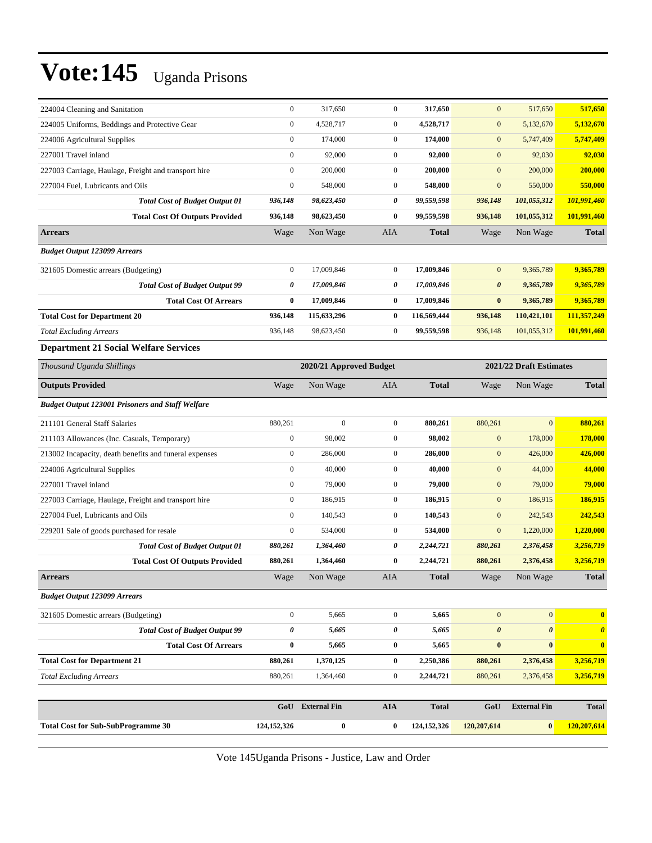| 224004 Cleaning and Sanitation                          | $\boldsymbol{0}$      | 317,650          | $\boldsymbol{0}$                                   | 317,650       | $\mathbf{0}$          | 517,650               | 517,650               |
|---------------------------------------------------------|-----------------------|------------------|----------------------------------------------------|---------------|-----------------------|-----------------------|-----------------------|
| 224005 Uniforms, Beddings and Protective Gear           | $\boldsymbol{0}$      | 4,528,717        | $\boldsymbol{0}$                                   | 4,528,717     | $\mathbf{0}$          | 5,132,670             | 5,132,670             |
| 224006 Agricultural Supplies                            | $\boldsymbol{0}$      | 174,000          | $\boldsymbol{0}$                                   | 174,000       | $\mathbf{0}$          | 5,747,409             | 5,747,409             |
| 227001 Travel inland                                    | $\boldsymbol{0}$      | 92,000           | $\boldsymbol{0}$                                   | 92,000        | $\mathbf{0}$          | 92,030                | 92,030                |
| 227003 Carriage, Haulage, Freight and transport hire    | $\boldsymbol{0}$      | 200,000          | $\boldsymbol{0}$                                   | 200,000       | $\mathbf{0}$          | 200,000               | 200,000               |
| 227004 Fuel, Lubricants and Oils                        | $\boldsymbol{0}$      | 548,000          | $\boldsymbol{0}$                                   | 548,000       | $\mathbf{0}$          | 550,000               | 550,000               |
| <b>Total Cost of Budget Output 01</b>                   | 936,148               | 98,623,450       | 0                                                  | 99,559,598    | 936,148               | 101,055,312           | 101,991,460           |
| <b>Total Cost Of Outputs Provided</b>                   | 936,148               | 98,623,450       | 0                                                  | 99,559,598    | 936,148               | 101,055,312           | 101,991,460           |
| <b>Arrears</b>                                          | Wage                  | Non Wage         | AIA                                                | <b>Total</b>  | Wage                  | Non Wage              | <b>Total</b>          |
| <b>Budget Output 123099 Arrears</b>                     |                       |                  |                                                    |               |                       |                       |                       |
| 321605 Domestic arrears (Budgeting)                     | $\boldsymbol{0}$      | 17,009,846       | $\boldsymbol{0}$                                   | 17,009,846    | $\mathbf{0}$          | 9,365,789             | 9,365,789             |
| <b>Total Cost of Budget Output 99</b>                   | 0                     | 17,009,846       | 0                                                  | 17,009,846    | $\boldsymbol{\theta}$ | 9,365,789             | 9,365,789             |
| <b>Total Cost Of Arrears</b>                            | $\bf{0}$              | 17,009,846       | 0                                                  | 17,009,846    | $\bf{0}$              | 9,365,789             | 9,365,789             |
| <b>Total Cost for Department 20</b>                     | 936,148               | 115,633,296      | 0                                                  | 116,569,444   | 936,148               | 110,421,101           | 111,357,249           |
| <b>Total Excluding Arrears</b>                          | 936,148               | 98,623,450       | $\boldsymbol{0}$                                   | 99,559,598    | 936,148               | 101,055,312           | 101,991,460           |
| <b>Department 21 Social Welfare Services</b>            |                       |                  |                                                    |               |                       |                       |                       |
| Thousand Uganda Shillings                               |                       |                  | 2021/22 Draft Estimates<br>2020/21 Approved Budget |               |                       |                       |                       |
| <b>Outputs Provided</b>                                 | Wage                  | Non Wage         | AIA                                                | <b>Total</b>  | Wage                  | Non Wage              | <b>Total</b>          |
| <b>Budget Output 123001 Prisoners and Staff Welfare</b> |                       |                  |                                                    |               |                       |                       |                       |
| 211101 General Staff Salaries                           | 880,261               | $\overline{0}$   | $\boldsymbol{0}$                                   | 880,261       | 880,261               | $\overline{0}$        | 880,261               |
| 211103 Allowances (Inc. Casuals, Temporary)             | $\boldsymbol{0}$      | 98,002           | $\boldsymbol{0}$                                   | 98,002        | $\mathbf{0}$          | 178,000               | 178,000               |
| 213002 Incapacity, death benefits and funeral expenses  | $\boldsymbol{0}$      | 286,000          | $\boldsymbol{0}$                                   | 286,000       | $\mathbf{0}$          | 426,000               | 426,000               |
| 224006 Agricultural Supplies                            | $\boldsymbol{0}$      | 40,000           | $\mathbf{0}$                                       | 40,000        | $\mathbf{0}$          | 44,000                | 44,000                |
| 227001 Travel inland                                    | $\boldsymbol{0}$      | 79,000           | $\boldsymbol{0}$                                   | 79,000        | $\mathbf{0}$          | 79,000                | 79,000                |
| 227003 Carriage, Haulage, Freight and transport hire    | $\boldsymbol{0}$      | 186,915          | $\boldsymbol{0}$                                   | 186,915       | $\mathbf{0}$          | 186,915               | 186,915               |
| 227004 Fuel, Lubricants and Oils                        | $\boldsymbol{0}$      | 140,543          | $\boldsymbol{0}$                                   | 140,543       | $\mathbf{0}$          | 242,543               | 242,543               |
| 229201 Sale of goods purchased for resale               | $\boldsymbol{0}$      | 534,000          | $\boldsymbol{0}$                                   | 534,000       | $\boldsymbol{0}$      | 1,220,000             | 1,220,000             |
| <b>Total Cost of Budget Output 01</b>                   | 880,261               | 1,364,460        | 0                                                  | 2,244,721     | 880,261               | 2,376,458             | 3,256,719             |
| <b>Total Cost Of Outputs Provided</b>                   | 880,261               | 1,364,460        | 0                                                  | 2,244,721     | 880,261               | 2,376,458             | 3,256,719             |
| <b>Arrears</b>                                          | Wage                  | Non Wage         | <b>AIA</b>                                         | <b>Total</b>  | Wage                  | Non Wage              | <b>Total</b>          |
| <b>Budget Output 123099 Arrears</b>                     |                       |                  |                                                    |               |                       |                       |                       |
| 321605 Domestic arrears (Budgeting)                     | $\boldsymbol{0}$      | 5,665            | $\boldsymbol{0}$                                   | 5,665         | $\boldsymbol{0}$      | $\mathbf{0}$          | $\bf{0}$              |
| <b>Total Cost of Budget Output 99</b>                   | $\boldsymbol{\theta}$ | 5,665            | 0                                                  | 5,665         | $\boldsymbol{\theta}$ | $\boldsymbol{\theta}$ | $\boldsymbol{\theta}$ |
| <b>Total Cost Of Arrears</b>                            | $\bf{0}$              | 5,665            | 0                                                  | 5,665         | $\bf{0}$              | $\bf{0}$              | $\bf{0}$              |
| <b>Total Cost for Department 21</b>                     | 880,261               | 1,370,125        | $\bf{0}$                                           | 2,250,386     | 880,261               | 2,376,458             | 3,256,719             |
| <b>Total Excluding Arrears</b>                          | 880,261               | 1,364,460        | $\boldsymbol{0}$                                   | 2,244,721     | 880,261               | 2,376,458             | 3,256,719             |
|                                                         |                       |                  |                                                    |               |                       |                       |                       |
|                                                         |                       | GoU External Fin | <b>AIA</b>                                         | <b>Total</b>  | GoU                   | <b>External Fin</b>   | <b>Total</b>          |
| <b>Total Cost for Sub-SubProgramme 30</b>               | 124, 152, 326         | $\boldsymbol{0}$ | $\bf{0}$                                           | 124, 152, 326 | 120,207,614           | $\boldsymbol{0}$      | 120,207,614           |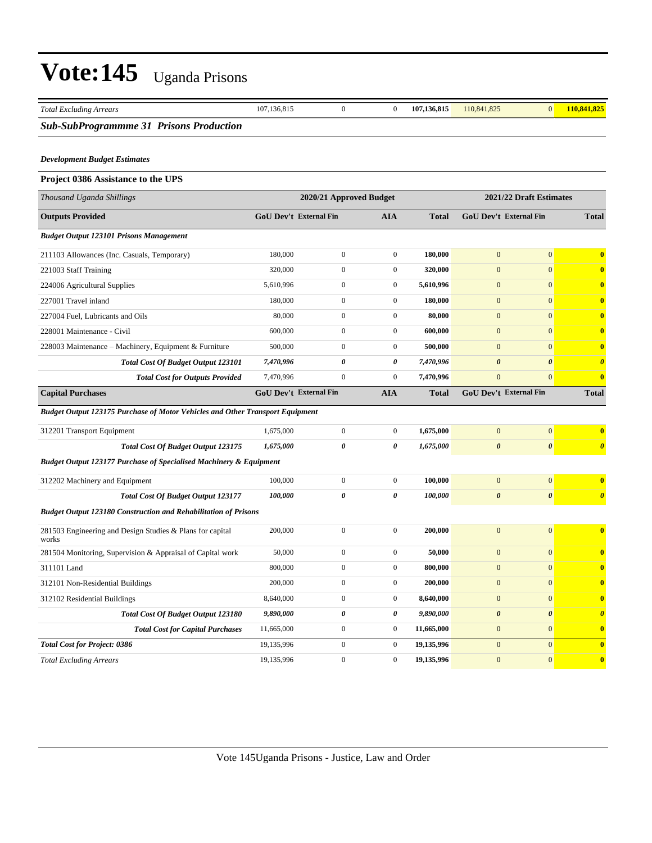| <b>Total Excluding Arrears</b>                                                       | 107,136,815                                        | $\boldsymbol{0}$ | $\boldsymbol{0}$ | 107,136,815  | 110,841,825                   | $\mathbf{0}$          | 110,841,825             |
|--------------------------------------------------------------------------------------|----------------------------------------------------|------------------|------------------|--------------|-------------------------------|-----------------------|-------------------------|
| <b>Sub-SubProgrammme 31 Prisons Production</b>                                       |                                                    |                  |                  |              |                               |                       |                         |
| <b>Development Budget Estimates</b>                                                  |                                                    |                  |                  |              |                               |                       |                         |
| Project 0386 Assistance to the UPS                                                   |                                                    |                  |                  |              |                               |                       |                         |
| Thousand Uganda Shillings                                                            | 2021/22 Draft Estimates<br>2020/21 Approved Budget |                  |                  |              |                               |                       |                         |
| <b>Outputs Provided</b>                                                              | GoU Dev't External Fin                             |                  | <b>AIA</b>       | <b>Total</b> | <b>GoU Dev't External Fin</b> |                       | <b>Total</b>            |
| <b>Budget Output 123101 Prisons Management</b>                                       |                                                    |                  |                  |              |                               |                       |                         |
| 211103 Allowances (Inc. Casuals, Temporary)                                          | 180,000                                            | $\boldsymbol{0}$ | $\boldsymbol{0}$ | 180,000      | $\overline{0}$                | $\mathbf{0}$          | $\bf{0}$                |
| 221003 Staff Training                                                                | 320,000                                            | $\boldsymbol{0}$ | $\boldsymbol{0}$ | 320,000      | $\mathbf{0}$                  | $\mathbf{0}$          | $\mathbf 0$             |
| 224006 Agricultural Supplies                                                         | 5,610,996                                          | $\boldsymbol{0}$ | $\boldsymbol{0}$ | 5,610,996    | $\mathbf{0}$                  | $\mathbf{0}$          | $\overline{\mathbf{0}}$ |
| 227001 Travel inland                                                                 | 180,000                                            | $\boldsymbol{0}$ | $\boldsymbol{0}$ | 180,000      | $\overline{0}$                | $\mathbf{0}$          | $\mathbf 0$             |
| 227004 Fuel, Lubricants and Oils                                                     | 80,000                                             | $\boldsymbol{0}$ | $\boldsymbol{0}$ | 80,000       | $\mathbf{0}$                  | $\mathbf{0}$          | $\mathbf 0$             |
| 228001 Maintenance - Civil                                                           | 600,000                                            | $\boldsymbol{0}$ | $\boldsymbol{0}$ | 600,000      | $\mathbf{0}$                  | $\mathbf{0}$          | $\boldsymbol{0}$        |
| 228003 Maintenance – Machinery, Equipment & Furniture                                | 500,000                                            | $\boldsymbol{0}$ | $\boldsymbol{0}$ | 500,000      | $\mathbf{0}$                  | $\mathbf{0}$          | $\overline{\mathbf{0}}$ |
| Total Cost Of Budget Output 123101                                                   | 7,470,996                                          | 0                | 0                | 7,470,996    | 0                             | $\boldsymbol{\theta}$ | $\boldsymbol{\theta}$   |
| <b>Total Cost for Outputs Provided</b>                                               | 7,470,996                                          | $\boldsymbol{0}$ | $\boldsymbol{0}$ | 7,470,996    | $\overline{0}$                | $\mathbf{0}$          | $\overline{\mathbf{0}}$ |
| <b>Capital Purchases</b>                                                             | GoU Dev't External Fin                             |                  | <b>AIA</b>       | <b>Total</b> | GoU Dev't External Fin        |                       | <b>Total</b>            |
| <b>Budget Output 123175 Purchase of Motor Vehicles and Other Transport Equipment</b> |                                                    |                  |                  |              |                               |                       |                         |
| 312201 Transport Equipment                                                           | 1,675,000                                          | $\boldsymbol{0}$ | $\boldsymbol{0}$ | 1,675,000    | $\boldsymbol{0}$              | $\mathbf{0}$          |                         |
| <b>Total Cost Of Budget Output 123175</b>                                            | 1,675,000                                          | 0                | 0                | 1,675,000    | 0                             | $\boldsymbol{\theta}$ | $\boldsymbol{\theta}$   |
| <b>Budget Output 123177 Purchase of Specialised Machinery &amp; Equipment</b>        |                                                    |                  |                  |              |                               |                       |                         |
| 312202 Machinery and Equipment                                                       | 100,000                                            | $\boldsymbol{0}$ | $\boldsymbol{0}$ | 100,000      | $\mathbf{0}$                  | $\mathbf{0}$          | $\overline{\mathbf{0}}$ |
| Total Cost Of Budget Output 123177                                                   | 100,000                                            | 0                | 0                | 100,000      | 0                             | $\boldsymbol{\theta}$ | $\boldsymbol{\theta}$   |
| <b>Budget Output 123180 Construction and Rehabilitation of Prisons</b>               |                                                    |                  |                  |              |                               |                       |                         |
| 281503 Engineering and Design Studies & Plans for capital<br>works                   | 200,000                                            | $\boldsymbol{0}$ | $\boldsymbol{0}$ | 200,000      | $\overline{0}$                | $\overline{0}$        | $\overline{\mathbf{0}}$ |
| 281504 Monitoring, Supervision & Appraisal of Capital work                           | 50,000                                             | $\boldsymbol{0}$ | $\boldsymbol{0}$ | 50,000       | $\mathbf{0}$                  | $\mathbf{0}$          | $\boldsymbol{0}$        |
| 311101 Land                                                                          | 800,000                                            | $\overline{0}$   | $\boldsymbol{0}$ | 800,000      | $\overline{0}$                | $\mathbf{0}$          |                         |
| 312101 Non-Residential Buildings                                                     | 200,000                                            | $\boldsymbol{0}$ | $\boldsymbol{0}$ | 200,000      | $\boldsymbol{0}$              | $\boldsymbol{0}$      | $\mathbf 0$             |
| 312102 Residential Buildings                                                         | 8,640,000                                          | $\boldsymbol{0}$ | $\boldsymbol{0}$ | 8,640,000    | $\boldsymbol{0}$              | $\mathbf{0}$          | $\overline{\mathbf{0}}$ |
| Total Cost Of Budget Output 123180                                                   | 9,890,000                                          | 0                | 0                | 9,890,000    | $\pmb{\theta}$                | $\boldsymbol{\theta}$ | $\boldsymbol{\theta}$   |
| <b>Total Cost for Capital Purchases</b>                                              | 11,665,000                                         | $\boldsymbol{0}$ | $\boldsymbol{0}$ | 11,665,000   | $\mathbf{0}$                  | $\mathbf{0}$          | $\mathbf{0}$            |
| <b>Total Cost for Project: 0386</b>                                                  | 19,135,996                                         | $\boldsymbol{0}$ | $\boldsymbol{0}$ | 19,135,996   | $\boldsymbol{0}$              | $\mathbf{0}$          | $\overline{\mathbf{0}}$ |
| <b>Total Excluding Arrears</b>                                                       | 19,135,996                                         | $\boldsymbol{0}$ | $\boldsymbol{0}$ | 19,135,996   | $\boldsymbol{0}$              | $\mathbf{0}$          | $\mathbf{0}$            |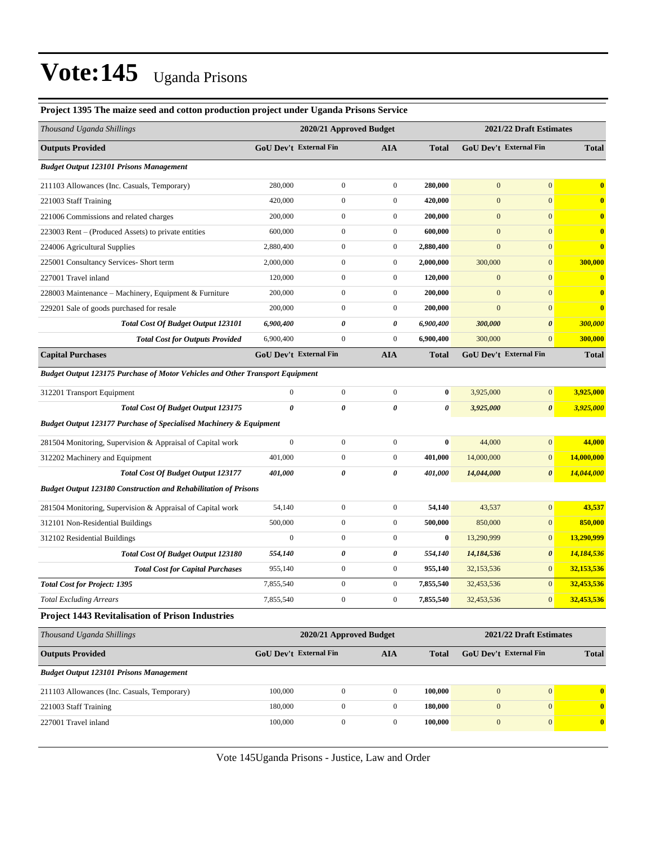| Project 1395 The maize seed and cotton production project under Uganda Prisons Service |                         |                               |                  |                         |                  |                               |              |
|----------------------------------------------------------------------------------------|-------------------------|-------------------------------|------------------|-------------------------|------------------|-------------------------------|--------------|
| Thousand Uganda Shillings                                                              | 2020/21 Approved Budget |                               |                  | 2021/22 Draft Estimates |                  |                               |              |
| <b>Outputs Provided</b>                                                                |                         | GoU Dev't External Fin        | <b>AIA</b>       | <b>Total</b>            |                  | GoU Dev't External Fin        | <b>Total</b> |
| <b>Budget Output 123101 Prisons Management</b>                                         |                         |                               |                  |                         |                  |                               |              |
| 211103 Allowances (Inc. Casuals, Temporary)                                            | 280,000                 | $\overline{0}$                | $\mathbf{0}$     | 280,000                 | $\mathbf{0}$     | $\mathbf{0}$                  | $\bf{0}$     |
| 221003 Staff Training                                                                  | 420,000                 | $\mathbf{0}$                  | $\boldsymbol{0}$ | 420,000                 | $\mathbf{0}$     | $\mathbf{0}$                  | $\bf{0}$     |
| 221006 Commissions and related charges                                                 | 200,000                 | $\overline{0}$                | $\boldsymbol{0}$ | 200,000                 | $\mathbf{0}$     | $\mathbf{0}$                  | $\bf{0}$     |
| 223003 Rent – (Produced Assets) to private entities                                    | 600,000                 | $\boldsymbol{0}$              | $\boldsymbol{0}$ | 600,000                 | $\boldsymbol{0}$ | $\mathbf{0}$                  | $\bf{0}$     |
| 224006 Agricultural Supplies                                                           | 2,880,400               | $\boldsymbol{0}$              | $\boldsymbol{0}$ | 2,880,400               | $\mathbf{0}$     | $\mathbf{0}$                  | $\bf{0}$     |
| 225001 Consultancy Services- Short term                                                | 2,000,000               | $\mathbf{0}$                  | $\boldsymbol{0}$ | 2,000,000               | 300,000          | $\boldsymbol{0}$              | 300,000      |
| 227001 Travel inland                                                                   | 120,000                 | $\mathbf{0}$                  | $\boldsymbol{0}$ | 120,000                 | $\mathbf{0}$     | $\mathbf{0}$                  | $\bf{0}$     |
| 228003 Maintenance – Machinery, Equipment & Furniture                                  | 200,000                 | $\overline{0}$                | $\boldsymbol{0}$ | 200,000                 | $\mathbf{0}$     | $\mathbf{0}$                  | $\bf{0}$     |
| 229201 Sale of goods purchased for resale                                              | 200,000                 | $\boldsymbol{0}$              | $\boldsymbol{0}$ | 200,000                 | $\mathbf{0}$     | $\mathbf{0}$                  | $\bf{0}$     |
| Total Cost Of Budget Output 123101                                                     | 6,900,400               | 0                             | 0                | 6,900,400               | 300,000          | $\boldsymbol{\theta}$         | 300,000      |
| <b>Total Cost for Outputs Provided</b>                                                 | 6,900,400               | $\overline{0}$                | $\boldsymbol{0}$ | 6,900,400               | 300,000          | $\boldsymbol{0}$              | 300,000      |
| <b>Capital Purchases</b>                                                               |                         | <b>GoU Dev't External Fin</b> | <b>AIA</b>       | <b>Total</b>            |                  | <b>GoU Dev't External Fin</b> | <b>Total</b> |
| Budget Output 123175 Purchase of Motor Vehicles and Other Transport Equipment          |                         |                               |                  |                         |                  |                               |              |
| 312201 Transport Equipment                                                             | $\boldsymbol{0}$        | $\mathbf{0}$                  | $\boldsymbol{0}$ | $\bf{0}$                | 3,925,000        | $\mathbf{0}$                  | 3,925,000    |
| <b>Total Cost Of Budget Output 123175</b>                                              | 0                       | 0                             | 0                | 0                       | 3,925,000        | $\boldsymbol{\theta}$         | 3,925,000    |
| <b>Budget Output 123177 Purchase of Specialised Machinery &amp; Equipment</b>          |                         |                               |                  |                         |                  |                               |              |
| 281504 Monitoring, Supervision & Appraisal of Capital work                             | $\mathbf{0}$            | $\boldsymbol{0}$              | $\boldsymbol{0}$ | $\bf{0}$                | 44,000           | $\mathbf{0}$                  | 44,000       |
| 312202 Machinery and Equipment                                                         | 401,000                 | $\boldsymbol{0}$              | $\boldsymbol{0}$ | 401,000                 | 14,000,000       | $\boldsymbol{0}$              | 14,000,000   |
| <b>Total Cost Of Budget Output 123177</b>                                              | 401,000                 | 0                             | 0                | 401,000                 | 14,044,000       | $\boldsymbol{\theta}$         | 14,044,000   |
| <b>Budget Output 123180 Construction and Rehabilitation of Prisons</b>                 |                         |                               |                  |                         |                  |                               |              |
| 281504 Monitoring, Supervision & Appraisal of Capital work                             | 54,140                  | $\mathbf{0}$                  | $\boldsymbol{0}$ | 54,140                  | 43,537           | $\mathbf{0}$                  | 43,537       |
| 312101 Non-Residential Buildings                                                       | 500,000                 | $\overline{0}$                | $\boldsymbol{0}$ | 500,000                 | 850,000          | $\boldsymbol{0}$              | 850,000      |
| 312102 Residential Buildings                                                           | $\mathbf{0}$            | $\mathbf{0}$                  | $\boldsymbol{0}$ | $\bf{0}$                | 13,290,999       | $\mathbf{0}$                  | 13,290,999   |
| <b>Total Cost Of Budget Output 123180</b>                                              | 554,140                 | 0                             | 0                | 554,140                 | 14,184,536       | 0                             | 14,184,536   |
| <b>Total Cost for Capital Purchases</b>                                                | 955,140                 | $\boldsymbol{0}$              | $\boldsymbol{0}$ | 955,140                 | 32,153,536       | $\boldsymbol{0}$              | 32,153,536   |
| <b>Total Cost for Project: 1395</b>                                                    | 7,855,540               | $\boldsymbol{0}$              | $\boldsymbol{0}$ | 7,855,540               | 32,453,536       | $\mathbf{0}$                  | 32,453,536   |
| <b>Total Excluding Arrears</b>                                                         | 7,855,540               | $\overline{0}$                | $\mathbf{0}$     | 7,855,540               | 32,453,536       | $\mathbf{0}$                  | 32,453,536   |
| <b>Project 1443 Revitalisation of Prison Industries</b>                                |                         |                               |                  |                         |                  |                               |              |
| Thousand Uganda Shillings                                                              |                         | 2020/21 Approved Budget       |                  |                         |                  | 2021/22 Draft Estimates       |              |
| <b>Outputs Provided</b>                                                                |                         | <b>GoU Dev't External Fin</b> | <b>AIA</b>       | <b>Total</b>            |                  | GoU Dev't External Fin        | <b>Total</b> |
| <b>Budget Output 123101 Prisons Management</b>                                         |                         |                               |                  |                         |                  |                               |              |
| 211103 Allowances (Inc. Casuals, Temporary)                                            | 100,000                 | $\boldsymbol{0}$              | $\mathbf{0}$     | 100,000                 | $\mathbf{0}$     | $\mathbf{0}$                  | $\bf{0}$     |
| 221003 Staff Training                                                                  | 180,000                 | $\boldsymbol{0}$              | $\mathbf{0}$     | 180,000                 | $\mathbf{0}$     | $\mathbf{0}$                  | $\bf{0}$     |
| 227001 Travel inland                                                                   | 100,000                 | $\boldsymbol{0}$              | $\boldsymbol{0}$ | 100,000                 | $\mathbf{0}$     | $\boldsymbol{0}$              | $\mathbf{0}$ |